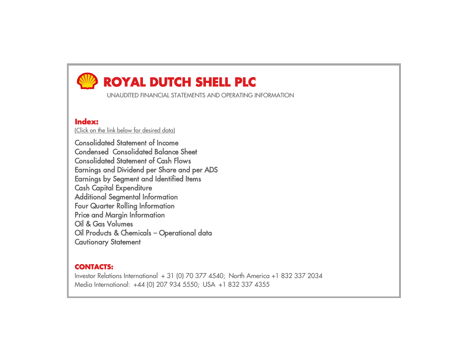# **ROYAL DUTCH SHELL PLC**

UNAUDITED FINANCIAL STATEMENTS AND OPERATING INFORMATION

## **Index:**

(Click on the link below for desired data)

Consolidated Statement of Income Condensed Consolidated Balance Sheet Consolidated Statement of Cash Flows Earnings and Dividend per Share and per ADS Earnings by Segment and Identified Items Cash Capital Expenditure Additional Segmental Information Four Quarter Rolling Information Price and Margin Information Oil & Gas Volumes Oil Products & Chemicals – Operational data Cautionary Statement

## **CONTACTS:**

Investor Relations International + 31 (0) 70 377 4540; North America +1 832 337 2034 Media International: +44 (0) 207 934 5550; USA +1 832 337 4355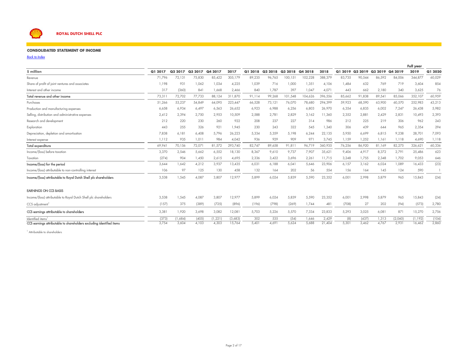

#### **CONSOLIDATED STATEMENT OF INCOME**

*Back to Index*

|                                                                      |         |                     |         |         |         |         |         |         |         |         |                 |        |         |         | <b>Full year</b> |         |
|----------------------------------------------------------------------|---------|---------------------|---------|---------|---------|---------|---------|---------|---------|---------|-----------------|--------|---------|---------|------------------|---------|
| \$ million                                                           | Q1 2017 | Q <sub>2</sub> 2017 | Q3 2017 | Q4 2017 | 2017    | Q1 2018 | Q2 2018 | Q3 2018 | Q4 2018 | 2018    | Q1 2019 Q2 2019 |        | Q3 2019 | Q4 2019 | 2019             | Q1 2020 |
| Revenue                                                              | 71,796  | 72,131              | 75,830  | 85,422  | 305,179 | 89,235  | 96,765  | 100,151 | 102,228 | 388,379 | 83,735          | 90,544 | 86,592  | 84,006  | 344,877          | 60,029  |
| Share of profit of joint ventures and associates                     | 1.198   | 931                 | 1.062   | 1,034   | 4,225   | 1,039   | 716     | 1,000   | 1,351   | 4,106   | 1,484           | 632    | 769     | 719     | 3,604            | 854     |
| Interest and other income                                            | 317     | (360)               | 841     | 1,668   | 2.466   | 840     | 1.787   | 397     | 1.047   | 4,071   | 443             | 662    | 2,180   | 340     | 3,625            | 76      |
| Total revenue and other income                                       | 73,311  | 72,702              | 77,733  | 88,124  | 311,870 | 91,114  | 99,268  | 101,548 | 104,626 | 396,556 | 85,662          | 91,838 | 89,541  | 85,066  | 352,107          | 60,959  |
| Purchases                                                            | 51,266  | 53,237              | 54,849  | 64,095  | 223,447 | 66,528  | 73,121  | 76,070  | 78,680  | 294,399 | 59,923          | 68,590 | 63,900  | 60,570  | 252,983          | 43,213  |
| Production and manufacturing expenses                                | 6,658   | 6,934               | 6,497   | 6,563   | 26,652  | 6,923   | 6,988   | 6,256   | 6,803   | 26,970  | 6,354           | 6,835  | 6,002   | 7,247   | 26,438           | 5,982   |
| Selling, distribution and administrative expenses                    | 2,412   | 2,394               | 2,750   | 2,953   | 10,509  | 2,588   | 2,781   | 2,829   | 3,162   | 11,360  | 2,352           | 2,881  | 2,429   | 2,831   | 10,493           | 2,393   |
| Research and development                                             | 212     | 220                 | 230     | 260     | 922     | 208     | 237     | 227     | 314     | 986     | 212             | 225    | 219     | 306     | 962              | 243     |
| Exploration                                                          | 443     | 255                 | 326     | 921     | 1.945   | 230     | 243     | 322     | 545     | 1,340   | 306             | 439    | 644     | 965     | 2,354            | 294     |
| Depreciation, depletion and amortisation                             | 7,838   | 6,181               | 6.408   | 5,796   | 26,223  | 5.334   | 5.359   | 5,198   | 6.244   | 22,135  | 5,950           | 6.699  | 6,815   | 9.238   | 28,701           | 7,093   |
| Interest expense                                                     | 1.112   | 935                 | 1,01    | 984     | 4,042   | 936     | 929     | 909     | 971     | 3,745   | 1,159           | 1,252  | 1,161   | 1,118   | 4,690            | 1,118   |
| Total expenditure                                                    | 69,941  | 70,156              | 72,07   | 81,572  | 293,740 | 82.747  | 89,658  | 91,811  | 96,719  | 360,935 | 76,256          | 86,920 | 81,169  | 82,275  | 326,62           | 60,336  |
| Income/(loss) before taxation                                        | 3,370   | 2,546               | 5,662   | 6,552   | 18,130  | 8,367   | 9,610   | 9,737   | 7,907   | 35,621  | 9,406           | 4.917  | 8,372   | 2,791   | 25,486           | 623     |
| Taxation                                                             | (274)   | 904                 | 1,450   | 2,615   | 4,695   | 2,336   | 3,422   | 3,696   | 2,261   | 11,715  | 3,248           | 1.755  | 2,348   | 1,702   | 9,053            | 646     |
| Income/(loss) for the period                                         | 3.644   | 1,642               | 4,212   | 3,937   | 13,435  | 6,031   | 6,188   | 6,041   | 5.646   | 23,906  | 6,157           | 3,162  | 6,024   | 1.089   | 16,433           | (23)    |
| Income/(loss) attributable to non-controlling interest               | 106     | 97                  | 125     | 130     | 458     | 132     | 164     | 202     | 56      | 554     | 156             | 164    | 145     | 124     | 590              |         |
| Income/(loss) attributable to Royal Dutch Shell plc shareholders     | 3,538   | 1,545               | 4.087   | 3,807   | 12,977  | 5.899   | 6,024   | 5,839   | 5.590   | 23,352  | 6,001           | 2,998  | 5,879   | 965     | 15,843           | (24)    |
| <b>EARNINGS ON CCS BASIS</b>                                         |         |                     |         |         |         |         |         |         |         |         |                 |        |         |         |                  |         |
| Income/(loss) attributable to Royal Dutch Shell plc shareholders     | 3,538   | 1,545               | 4,087   | 3,807   | 12,977  | 5,899   | 6,024   | 5,839   | 5,590   | 23,352  | 6,001           | 2,998  | 5,879   | 965     | 15,843           | (24)    |
| CCS adjustment                                                       | (157)   | 375                 | (389)   | (725)   | (896)   | (196)   | (798)   | (269)   | 1.744   | 481     | (708)           | 27     | 202     | (94)    | (573)            | 2,780   |
| CCS earnings attributable to shareholders                            | 3,381   | 1,920               | 3,698   | 3,082   | 12,081  | 5,703   | 5,226   | 5,570   | 7,334   | 23,833  | 5,293           | 3,025  | 6,081   | 871     | 15,270           | 2,756   |
| Identified items                                                     | (373)   | (1,684)             | (405)   | (1,221) | (3,683) | 302     | 535     | (54)    | .646    | 2,429   | (8)             | (437)  | 1,313   | (2,060) | (1, 192)         | (104)   |
| CCS earnings attributable to shareholders excluding identified items | 3,754   | 3,604               | 4,103   | 4,303   | 15,764  | 5,401   | 4,691   | 5,624   | 5,688   | 21,404  | 5,301           | 3,462  | 4,767   | 2,931   | 16,462           | 2,860   |

<sup>1</sup> Attributable to shareholders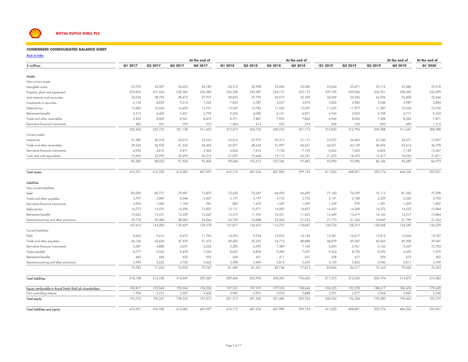

#### **CONDENSED CONSOLIDATED BALANCE SHEET**

|                                                           |         |                     |         | At the end of |         |         |         | At the end of |         |                     |         | At the end of | At the end of |
|-----------------------------------------------------------|---------|---------------------|---------|---------------|---------|---------|---------|---------------|---------|---------------------|---------|---------------|---------------|
| \$ million                                                | Q1 2017 | Q <sub>2</sub> 2017 | Q3 2017 | Q4 2017       | Q1 2018 | Q2 2018 | Q3 2018 | Q4 2018       | Q1 2019 | Q <sub>2</sub> 2019 | Q3 2019 | Q4 2019       | Q1 2020       |
| <b>Assets</b>                                             |         |                     |         |               |         |         |         |               |         |                     |         |               |               |
| Non-current assets:                                       |         |                     |         |               |         |         |         |               |         |                     |         |               |               |
| Intangible assets                                         | 23,705  | 24,507              | 24,425  | 24,180        | 24,312  | 23,968  | 23,684  | 23,586        | 23,644  | 23,471              | 23,116  | 23,486        | 23,218        |
| Property, plant and equipment                             | 233,822 | 231,544             | 230,360 | 226,380       | 226,328 | 223,287 | 224,172 | 223,175       | 239,189 | 239,066             | 236,921 | 238,349       | 232,099       |
| Joint ventures and associates                             | 34,236  | 28,785              | 28,473  | 27,927        | 28,852  | 27,795  | 25,619  | 25,329        | 26,069  | 25,536              | 24,096  | 22,808        | 22,646        |
| Investments in securities                                 | 6,124   | 8,829               | 9,214   | 7,222         | 7,023   | 3,387   | 3,057   | 3,074         | 3,002   | 2,983               | 3,048   | 2,989         | 2,884         |
| Deferred tax                                              | 15,482  | 16,045              | 16,402  | 13,791        | 13,247  | 12,782  | 11,565  | 12,097        | 11,657  | 11,977              | 11,287  | 10,524        | 10,706        |
| Retirement benefits                                       | 2,513   | 4,403               | 3,451   | 2,799         | 3,256   | 4,082   | 4,121   | 6,051         | 4,766   | 3,963               | 2,708   | 4,717         | 8,352         |
| Trade and other receivables                               | 9,202   | 8,069               | 8,041   | 8,475         | 8,371   | 7,807   | 7,902   | 7,826         | 6,940   | 8,036               | 7,558   | 8,085         | 7,871         |
| Derivative financial instruments                          | 482     | 551                 | 792     | 919           | 1,284   | 614     | 623     | 574           | 568     | 762                 | 853     | 689           | 1,212         |
|                                                           | 325,566 | 322,733             | 321,158 | 311,693       | 312,673 | 303,722 | 300,743 | 301,712       | 315,835 | 315,794             | 309,588 | 311,647       | 308,988       |
| Current assets:                                           |         |                     |         |               |         |         |         |               |         |                     |         |               |               |
| Inventories                                               | 21,589  | 22,318              | 24,019  | 25,223        | 25,014  | 27,975  | 29,313  | 21,117        | 23,937  | 24,465              | 23,240  | 24,071        | 13,897        |
| Trade and other receivables                               | 39,245  | 36,932              | 41,335  | 44,565        | 45,071  | 48,654  | 51,097  | 42,431        | 44,521  | 43,139              | 40,694  | 43,414        | 36,798        |
| Derivative financial instruments                          | 4,956   | 4,810               | 5,871   | 5,304         | 6,034   | 7,415   | 7,724   | 7,193         | 6,062   | 7,022               | 6,835   | 7,149         | 12,467        |
| Cash and cash eauivalents                                 | 19.595  | 23,992              | 20,699  | 20,312        | 21,927  | 19.468  | 19,112  | 26,741        | 21,470  | 18.470              | 15,417  | 18,055        | 21,811        |
|                                                           | 85,385  | 88,052              | 91,924  | 95,404        | 98,046  | 103,512 | 107,246 | 97,482        | 95,990  | 93,096              | 86,186  | 92,689        | 84,973        |
|                                                           |         |                     |         |               |         |         |         |               |         |                     |         |               |               |
| <b>Total assets</b>                                       | 410,951 | 410,785             | 413,082 | 407,097       | 410,719 | 407,234 | 407,989 | 399,194       | 411,825 | 408,891             | 395,774 | 404,336       | 393,961       |
| Liabilities                                               |         |                     |         |               |         |         |         |               |         |                     |         |               |               |
| Non-current liabilities:                                  |         |                     |         |               |         |         |         |               |         |                     |         |               |               |
| Debt                                                      | 83,009  | 80,731              | 79,681  | 73,870        | 73,630  | 70,547  | 64,455  | 66,690        | 77,160  | 76,029              | 76,112  | 81,360        | 79,298        |
| Trade and other payables                                  | 3,707   | 3,887               | 4,046   | 3,447         | 3,131   | 3,197   | 3,133   | 2,735         | 2,141   | 2,188               | 2,229   | 2,342         | 2,705         |
| Derivative financial instruments                          | 3,094   | 1,584               | 1,194   | 981           | 883     | 1,474   | 1,359   | 1,399         | 1,239   | 970                 | 1,301   | 1,209         | 1,807         |
| Deferred tax                                              | 14,773  | 14,570              | 14,396  | 13,007        | 13,131  | 13,971  | 14,083  | 14,837        | 14,563  | 14,368              | 14,373  | 14,522        | 15,084        |
| Retirement benefits                                       | 13,062  | 13,031              | 12,229  | 13,247        | 12,319  | 11,396  | 10,521  | 11,653        | 12,449  | 13,419              | 14,166  | 13,017        | 13,884        |
| Decommissioning and other provisions                      | 29,770  | 29,480              | 28,083  | 24,966        | 24,723  | 23,888  | 23,206  | 21,533        | 21,173  | 21,345              | 19,849  | 21,799        | 21,562        |
|                                                           | 147,415 | 143,283             | 139,629 | 129,518       | 127,817 | 124,473 | 116,757 | 118,847       | 128,725 | 128,319             | 128,028 | 134,249       | 134,339       |
| Current liabilities:                                      |         |                     |         |               |         |         |         |               |         |                     |         |               |               |
| Debt                                                      | 8,620   | 9,616               | 8,675   | 11,795        | 14,392  | 9,924   | 13,923  | 10,134        | 15,381  | 16,617              | 12,812  | 15,064        | 15,767        |
| Trade and other payables                                  | 44,166  | 43,630              | 47,539  | 51,410        | 49,405  | 52,270  | 54,713  | 48,888        | 48,879  | 49,347              | 45,543  | 49,208        | 39,441        |
| Derivative financial instruments                          | 5,387   | 4,888               | 5,051   | 5,253         | 5,283   | 6,593   | 7,389   | 7,184         | 5,493   | 5,761               | 5,165   | 5,429         | 10,785        |
| Taxes payable                                             | 8,777   | 9,043               | 9,478   | 7,250         | 8,657   | 8,894   | 9,496   | 7,497         | 9,524   | 8,720               | 8,292   | 6,693         | 7,079         |
| Retirement benefits                                       | 443     | 446                 | 422     | 594           | 454     | 431     | 411     | 451           | 438     | 417                 | 394     | 419           | 402           |
| Decommissioning and other provisions                      | 3,390   | 3,622               | 3,755   | 3,465         | 3,398   | 3,409   | 3,814   | 3,659         | 3,129   | 3,455               | 2,960   | 2,811         | 2,769         |
|                                                           | 70,783  | 71,245              | 74,920  | 79,767        | 81,589  | 81,521  | 89,746  | 77,813        | 82,845  | 84,317              | 75,165  | 79,624        | 76,243        |
| <b>Total liabilities</b>                                  | 218,198 | 214,528             | 214,549 | 209,285       | 209,406 | 205,994 | 206,503 | 196,660       | 211,570 | 212,636             | 203,194 | 213,873       | 210,582       |
| Equity attributable to Royal Dutch Shell plc shareholders | 190,817 | 193,042             | 195,026 | 194,356       | 197,331 | 197,319 | 197,533 | 198,646       | 196,325 | 192,278             | 188,617 | 186,476       | 179,639       |
| Non-controlling interest                                  | 1,936   | 3,215               | 3,507   | 3,456         | 3,982   | 3,921   | 3,953   | 3,888         | 3,931   | 3,977               | 3,964   | 3,987         | 3,740         |
| <b>Total equity</b>                                       | 192,753 | 196,257             | 198,533 | 197,812       | 201,313 | 201,240 | 201,486 | 202,534       | 200,256 | 196,254             | 192,580 | 190,463       | 183,379       |
|                                                           |         |                     |         |               |         |         |         |               |         |                     |         |               |               |
| <b>Total liabilities and equity</b>                       | 410,951 | 410,785             | 413,082 | 407,097       | 410,719 | 407,234 | 407,989 | 399,194       | 411,825 | 408,891             | 395,774 | 404,336       | 393,961       |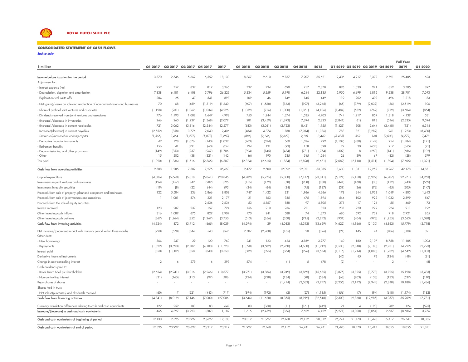

#### **CONSOLIDATED STATEMENT OF CASH FLOWS**

*Back to Index*

|                                                                                         |               |                     |          |          |           |          |          |          |          |           |                 |          |          |                | <b>Full Year</b> |          |
|-----------------------------------------------------------------------------------------|---------------|---------------------|----------|----------|-----------|----------|----------|----------|----------|-----------|-----------------|----------|----------|----------------|------------------|----------|
| \$ million                                                                              | Q1 2017       | Q <sub>2</sub> 2017 | Q3 2017  | Q4 2017  | 2017      | Q1 2018  | Q2 2018  | Q3 2018  | Q4 2018  | 2018      | Q1 2019 Q2 2019 |          | Q3 2019  | Q4 2019        | 2019             | Q1 2020  |
| Income before taxation for the period                                                   | 3,370         | 2,546               | 5,662    | 6,552    | 18,130    | 8,367    | 9,610    | 9,737    | 7,907    | 35,621    | 9,406           | 4,917    | 8,372    | 2,791          | 25,485           | 623      |
| Adjustment for:                                                                         |               |                     |          |          |           |          |          |          |          |           |                 |          |          |                |                  |          |
| - Interest expense (net)                                                                | 952           | 757                 | 839      | 817      | 3.365     | 737      | 734      | 690      | 717      | 2,878     | 896             | 1.030    | 921      | 859            | 3,705            | 897      |
| - Depreciation, depletion and amortisation                                              | 7,838         | 6,181               | 6,408    | 5,796    | 26,223    | 5,334    | 5.359    | 5,198    | 6,244    | 22,135    | 5,950           | 6,699    | 6,815    | 9,238          | 28,701           | 7,093    |
| <b>Exploration well write-offs</b>                                                      | 284           | 25                  | 47       | 541      | 897       | 109      | 46       | 149      | 145      | 449       | 119             | 202      | 402      | 496            | 1,218            | 83       |
| - Net (gains)/losses on sale and revaluation of non-current assets and businesses       | 70            | 68                  | (459)    | (1, 319) | (1,640)   | (607)    | (1, 568) | (163)    | (927)    | (3, 265)  | (6.5)           | (379)    | (2,039)  | (36)           | (2, 519)         | 106      |
| Share of profit of joint ventures and associates                                        | (1, 198)      | (931)               | (1,062)  | (1,034)  | (4, 225)  | (1,039)  | (716)    | (1,000)  | (1, 351) | (4, 106)  | (1,484)         | (632)    | (769)    | (719)          | (3,604)          | (854)    |
| Dividends received from joint ventures and associates                                   | 776           | 1.493               | 1.082    | 1,647    | 4.998     | 750      | 1,244    | 1,374    | 1.535    | 4,903     | 744             | 1.217    | 859      | 1,318          | 4,139            | 531      |
| (Increase)/decrease in inventories                                                      | 266           | 260                 | (1, 237) | (1, 368) | (2,079)   | 281      | (3, 459) | (1,693)  | 7,694    | 2,823     | (2,841)         | (61)     | 813      | (546)          | (2,635)          | 9,594    |
| (Increase)/decrease in current receivables                                              | 721           | 3,062               | (3,816)  | (2, 544) | (2, 577)  | (683)    | (3,061)  | (2,722)  | 8,421    | 1,955     | (1,425)         | 308      | 2,644    | (2, 448)       | (921)            | 6,314    |
| Increase/(decrease) in current payables                                                 | (2, 552)      | (858)               | 3,776    | 2,040    | 2,406     | (484)    | 4,374    | 1,788    | (7.014)  | (1, 336)  | 783             | 321      | (3, 289) | 961            | (1, 223)         | (8,430)  |
| Decrease/(increase) in working capital                                                  | (1, 565)      | 2,464               | (1, 277) | (1, 872) | (2, 250)  | (886)    | (2, 146) | (2,627)  | 9,101    | 3,442     | (3,483)         | 569      | 168      | (2,033)        | (4,779)          | 7,478    |
| - Derivative financial instruments                                                      | 49            | 128                 | (1,076)  | (140)    | (1,039)   | (763)    | (624)    | 560      | 1,626    | 799       | (1, 109)        | (480)    | (149)    | 254            | (1,484)          | (171)    |
| Retirement benefits                                                                     | 156           | 41                  | (791)    | (60)     | (654)     | 194      | 131      | (93)     | 158      | 390       | 22              | 30       | (634)    | 217            | (365)            | (91)     |
| Decommissioning and other provisions                                                    | (149)         | (353)               | (237)    | (967)    | (1,706)   | (394)    | (145)    | (434)    | (781)    | (1,754)   | (302)           | 8        | (250)    | (141)          | (686)            | (102)    |
| Other                                                                                   | 15            | 202                 | (38)     | (321)    | (142)     | (6)      | 190      | 535      | 545      | 1,264     | 26              | (39)     | 67       | (82)           | (28)             | 579      |
| Tax paid                                                                                | (1,090)       | (1, 336)            | (1, 516) | (2, 365) | (6, 307)  | (2, 324) | (2,615)  | (1, 834) | (2,898)  | (9,671)   | (2,089)         | (2,110)  | (1, 511) | (1,894)        | (7,605)          | (1, 321) |
| Cash flow from operating activities                                                     | 9,508         | 11,285              | 7,582    | 7,275    | 35,650    | 9,472    | 9,500    | 12,092   | 22,021   | 53,085    | 8,630           | 11,031   | 12,252   | 10,267         | 42,178           | 14,851   |
| Capital expenditure                                                                     | (4,306)       | (5,660)             | (5,018)  | (5,861)  | (20, 845) | (4,789)  | (5, 275) | (5,800)  | (7, 147) | (23, 011) | (5, 121)        | (5, 150) | (5,992)  | (6,707)        | (22, 971)        | (4, 263) |
| Investments in joint ventures and associates                                            | (194)         | (157)               | (42)     | (202)    | (595)     | (415)    | (179)    | (78)     | (208)    | (880)     | (441)           | (160)    | (30)     | (112)          | (743)            | (559)    |
| Investments in equity securities                                                        | (19)          | (8)                 | (22)     | (44)     | (93)      | (24)     | (64)     | (24)     | (75)     | (187)     | (39)            | (26)     | (76)     | (65)           | (205)            | (147)    |
| Proceeds from sale of property, plant and equipment and businesses                      | 122           | 5,584               | 236      | 2,866    | 8,808     | 747      | 1,422    | 231      | 1,966    | 4,366     | 178             | 644      | 2,932    | 1,049          | 4,803            | 1,613    |
| Proceeds from sale of joint ventures and associates                                     | -1            | 1,081               | 874      | 221      | 2,177     | 21       | 163      | 935      | 475      | 1,594     | 544             | 102      | 922      | 1,032          | 2,599            | 547      |
| Proceeds from the sale of equity securities                                             |               |                     |          | 2.636    | 2.636     | 53       | 4.167    | 188      | 97       | 4.505     | 271             | 17       | 126      | 55             | 469              | 73       |
| Interest received                                                                       | 123           | 207                 | 237      | 157      | 724       | 156      | 210      | 236      | 221      | 823       | 237             | 220      | 229      | 224            | 911              | 192      |
| Other investing cash inflows                                                            | 316           | 1,089               | 675      | 829      | 2,909     | 470      | 241      | 588      | 74       | 1,373     | 680             | 592      | 732      | 918            | 2,921            | 855      |
| Other investing cash outflows                                                           | (367)         | (1, 264)            | (852)    | (1, 267) | (3,750)   | (513)    | (6.56)   | (358)    | (715)    | (2, 242)  | (931)           | (404)    | (973)    | (1, 255)       | (3, 563)         | (1,028)  |
| Cash flow from investing activities                                                     | (4, 324)      | 872                 | (3,912)  | (665)    | (8,029)   | (4, 294) | 29       | (4,082)  | (5, 312) | (13,659)  | (4,622)         | (4, 166) | (2, 130) | (4, 862)       | (15,779)         | (2,718)  |
| Net increase/(decrease) in debt with maturity period within three months<br>Other debt: | (290)         | (578)               | (544)    | 543      | (869)     | 2,707    | (2,968)  | (155)    | 20       | (396)     | (91)            | 145      | 44       | (406)          | (308)            | 321      |
| - New borrowings                                                                        | 364           | 247                 | 29       | 120      | 760       | 241      | 123      | 424      | 3.189    | 3.977     | 140             | 180      | 2,107    | 8.758          | 11,185           | 1,003    |
| - Repayments                                                                            | (1, 322)      | (3, 593)            | (2,702)  | (4, 103) | (11,720)  | (1,390)  | (3, 582) | (2, 260) | (4,680)  | (11, 912) | (1, 533)        | (2,848)  | (7, 180) | (2,731)        | (14, 292)        | (2,723)  |
| Interest paid                                                                           | (850)         | (1,002)             | (858)    | (840)    | (3, 550)  | (889)    | (895)    | (864)    | (926)    | (3, 574)  | (1, 115)        | (1, 214) | (1,088)  | (1, 232)       | (4,649)          | (1,033)  |
| Derivative financial instruments                                                        |               |                     |          |          |           |          |          |          |          |           | (4.5)           | 45       | 76       | (124)          | (48)             | (81)     |
| Change in non-controlling interest                                                      | $\mathcal{P}$ | 6                   | 279      | 6        | 293       | 674      |          | (1)      | 5        | 678       | (2)             |          |          | $\mathfrak{D}$ |                  | (8)      |
| Cash dividends paid to:                                                                 |               |                     |          |          |           |          |          |          |          |           |                 |          |          |                |                  |          |
| - Royal Dutch Shell plc shareholders                                                    | (2,654)       | (2,941)             | (3,016)  | (2, 266) | (10, 877) | (3,971)  | (3,886)  | (3,949)  | (3,869)  | (15,675)  | (3,875)         | (3,825)  | (3,773)  | (3,725)        | (15, 198)        | (3,483)  |
| - Non-controlling interest                                                              | (31)          | (165)               | (113)    | (97)     | (406)     | (124)    | (228)    | (134)    | (98)     | (584)     | (68)            | (203)    | (133)    | (133)          | (537)            | (110)    |
| Repurchases of shares                                                                   |               |                     |          |          |           |          |          | (1,414)  | (2, 533) | (3,947)   | (2, 255)        | (2, 142) | (2,944)  | (2,848)        | (10, 188)        | (1,486)  |
| Shares held in trust:                                                                   |               |                     |          |          |           |          |          |          |          |           |                 |          |          |                |                  |          |
| - Net sales/(purchases) and dividends received                                          | (60)          | $\overline{7}$      | (221)    | (443)    | (717)     | (894)    | (192)    | (2)      | (27)     | (1, 115)  | (456)           | (7)      | (94)     | (618)          | (1, 174)         | (182)    |
| Cash flow from financing activities                                                     | (4, 841)      | (8,019)             | (7, 146) | (7,080)  | (27,086)  | (3,646)  | (11,628) | (8, 355) | (8,919)  | (32, 548) | (9,300)         | (9,868)  | (12,985) | (3,057)        | (35, 209)        | (7, 781) |
| Currency translation differences relating to cash and cash equivalents                  | 122           | 259                 | 183      | 83       | 647       | 83       | (360)    | (11)     | (161)    | (449)     | 21              | $\Delta$ | (190)    | 289            | 124              | (595)    |
| Increase/(decrease) in cash and cash equivalents                                        | 465           | 4,397               | (3, 293) | (387)    | 1,182     | 1,615    | (2, 459) | (356)    | 7,629    | 6,429     | (5,271)         | (3,000)  | (3,054)  | 2,637          | (8,686)          | 3,756    |
| Cash and cash equivalents at beginning of period                                        | 19,130        | 19,595              | 23,992   | 20,699   | 19,130    | 20,312   | 21,927   | 19,468   | 19,112   | 20,312    | 26,741          | 21,470   | 18,470   | 15,417         | 26,741           | 18,055   |
| Cash and cash eauivalents at end of period                                              | 19.595        | 23,992              | 20,699   | 20,312   | 20.312    | 21.927   | 19.468   | 19.112   | 26.741   | 26,741    | 21.470          | 18,470   | 15,417   | 18.055         | 18.055           | 21.811   |

<u> Tanzania (h. 1888).</u>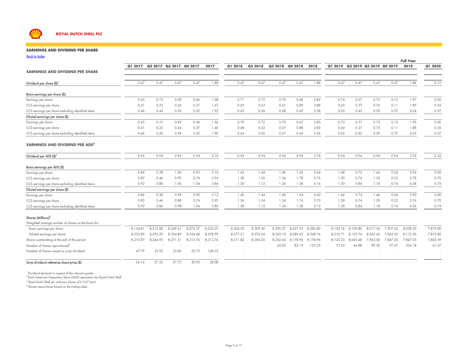

#### **EARNINGS AND DIVIDEND PER SHARE**

*Back to Index*

| ישווו שומע                                          |                                 |          |          |          |                          |          |          |                 |          |          |                                 |          |          |          | <b>Full Year</b> |          |
|-----------------------------------------------------|---------------------------------|----------|----------|----------|--------------------------|----------|----------|-----------------|----------|----------|---------------------------------|----------|----------|----------|------------------|----------|
|                                                     | Q1 2017 Q2 2017 Q3 2017 Q4 2017 |          |          |          | 2017                     | Q1 2018  | Q2 2018  | Q3 2018 Q4 2018 |          | 2018     | Q1 2019 Q2 2019 Q3 2019 Q4 2019 |          |          |          | 2019             | Q1 2020  |
| <b>EARNINGS AND DIVIDEND PER SHARE</b>              |                                 |          |          |          |                          |          |          |                 |          |          |                                 |          |          |          |                  |          |
| Dividend per share $(\$)^1$                         | 0.47                            | 0.47     | 0.47     | 0.47     | 1.88                     | 0.47     | 0.47     | 0.47            | 0.47     | 1.88     | 0.47                            | 0.47     | 0.47     | 0.47     | 1.88             | 0.16     |
| Basic earnings per share (\$)                       |                                 |          |          |          |                          |          |          |                 |          |          |                                 |          |          |          |                  |          |
| Earnings per share                                  | 0.43                            | 0.19     | 0.50     | 0.46     | 1.58                     | 0.71     | 0.72     | 0.70            | 0.68     | 2.82     | 0.74                            | 0.37     | 0.73     | 0.12     | 1.97             | 0.00     |
| CCS earnings per share                              | 0.41                            | 0.23     | 0.45     | 0.37     | 1.47                     | 0.69     | 0.63     | 0.67            | 0.89     | 2.88     | 0.65                            | 0.37     | 0.76     | 0.11     | 1.89             | 0.35     |
| CCS earnings per share excluding identified items   | 0.46                            | 0.44     | 0.50     | 0.52     | 1.92                     | 0.65     | 0.56     | 0.68            | 0.69     | 2.58     | 0.65                            | 0.43     | 0.59     | 0.37     | 2.04             | 0.37     |
| Diluted earnings per share (\$)                     |                                 |          |          |          |                          |          |          |                 |          |          |                                 |          |          |          |                  |          |
| Earnings per share                                  | 0.43                            | 0.19     | 0.49     | 0.46     | 1.56                     | 0.70     | 0.72     | 0.70            | 0.67     | 2.80     | 0.73                            | 0.37     | 0.73     | 0.12     | 1.95             | 0.00     |
| CCS earnings per share                              | 0.41                            | 0.23     | 0.44     | 0.37     | 1.46                     | 0.68     | 0.62     | 0.67            | 0.88     | 2.85     | 0.64                            | 0.37     | 0.75     | 0.11     | 1.88             | 0.35     |
| CCS earnings per share excluding identified items   | 0.46                            | 0.43     | 0.49     | 0.52     | 1.90                     | 0.64     | 0.56     | 0.67            | 0.69     | 2.56     | 0.65                            | 0.42     | 0.59     | 0.37     | 2.03             | 0.37     |
| <b>EARNINGS AND DIVIDEND PER ADS<sup>2</sup></b>    |                                 |          |          |          |                          |          |          |                 |          |          |                                 |          |          |          |                  |          |
| Dividend per ADS (\$) <sup>1</sup>                  | 0.94                            | 0.94     | 0.94     | 0.94     | 3.76                     | 0.94     | 0.94     | 0.94            | 0.94     | 3.76     | 0.94                            | 0.94     | 0.94     | 0.94     | 3.76             | 0.32     |
| Basic earnings per ADS (\$)                         |                                 |          |          |          |                          |          |          |                 |          |          |                                 |          |          |          |                  |          |
| Earnings per share                                  | 0.86                            | 0.38     | 1.00     | 0.92     | 3.16                     | 1.42     | 1.44     | 1.40            | 1.36     | 5.64     | 1.48                            | 0.74     | 1.46     | 0.24     | 3.94             | 0.00     |
| CCS earnings per share                              | 0.82                            | 0.46     | 0.90     | 0.74     | 2.94                     | 1.38     | 1.26     | 1.34            | 1.78     | 5.76     | 1.30                            | 0.74     | 1.52     | 0.22     | 3.78             | 0.70     |
| CCS earnings per share excluding identified items   | 0.92                            | 0.88     | 1.00     | 1.04     | 3.84                     | 1.30     | 1.12     | 1.36            | 1.38     | 5.16     | 1.30                            | 0.86     | 1.18     | 0.74     | 4.08             | 0.74     |
| Diluted earnings per share (\$)                     |                                 |          |          |          |                          |          |          |                 |          |          |                                 |          |          |          |                  |          |
| Earnings per share                                  | 0.86                            | 0.38     | 0.98     | 0.92     | 3.12                     | 1.40     | 1.44     | 1.40            | 1.34     | 5.60     | 1.46                            | 0.74     | 1.46     | 0.24     | 3.90             | 0.00     |
| CCS earnings per share                              | 0.82                            | 0.46     | 0.88     | 0.74     | 2.92                     | 1.36     | 1.24     | 1.34            | 1.76     | 5.70     | 1.28                            | 0.74     | 1.50     | 0.22     | 3.76             | 0.70     |
| CCS earnings per share excluding identified items   | 0.92                            | 0.86     | 0.98     | 1.04     | 3.80                     | 1.28     | 1.12     | 1.34            | 1.38     | 5.12     | 1.30                            | 0.84     | 1.18     | 0.74     | 4.06             | 0.74     |
| Shares (Millions) <sup>3</sup>                      |                                 |          |          |          |                          |          |          |                 |          |          |                                 |          |          |          |                  |          |
| Weighted average number of shares as the basis for: |                                 |          |          |          |                          |          |          |                 |          |          |                                 |          |          |          |                  |          |
| Basic earnings per share                            | 8,154.81                        | 8,212.88 | 8,249.61 | 8,274.57 | 8,223.37                 | 8,304.55 | 8,309.40 | 8,290.27        | 8,227.76 | 8,282.80 | 8,152.18                        | 8,100.80 | 8,017.54 | 7,907.24 | 8,058.30         | 7,819.80 |
| Diluted earnings per share                          | 8,222.89                        | 8.292.29 | 8,324.89 | 8,354.48 | 8.298.99                 | 8,377.21 | 8,376.04 | 8,353.10        | 8,289.43 | 8,348,74 | 8,210.71                        | 8.153.74 | 8,067.65 | 7,962.55 | 8,112.50         | 7,819.80 |
| Shares outstanding at the end of the period         | 8,210.87                        | 8,244.95 | 8,271.51 | 8,312.76 | 8,312.76                 | 8,311.82 | 8,306.20 | 8,262.64        | 8,178.96 | 8,178.96 | 8,125.23                        | 8,065.48 | 7,963.00 | 7,847.05 | 7,847.05         | 7,803.59 |
| Number of shares repurchased <sup>4</sup>           |                                 |          |          |          | $\overline{\phantom{a}}$ |          |          | 43.05           | 82.19    | 125.25   | 72.53                           | 66.88    | 99.30    | 97.47    | 336.18           | 61.57    |
| Number of shares issued as scrip dividend           | 47.79                           | 33.92    | 33.80    | 52.72    | 168.23                   |          |          |                 |          |          |                                 |          |          |          |                  |          |
| Scrip dividend reference share price (\$)           | 26.14                           | 27.53    | 27.73    | 30.93    | 28.08                    |          |          |                 |          |          |                                 |          |          |          |                  |          |

<sup>1</sup> Dividend declared in respect of the relevant quarter

<sup>2</sup> Each American Depositary Share (ADS) represents two Royal Dutch Shell

<sup>3</sup> Royal Dutch Shell plc ordinary shares of € 0.07 each.<br><sup>4</sup> Shares repurchases based on the trading date.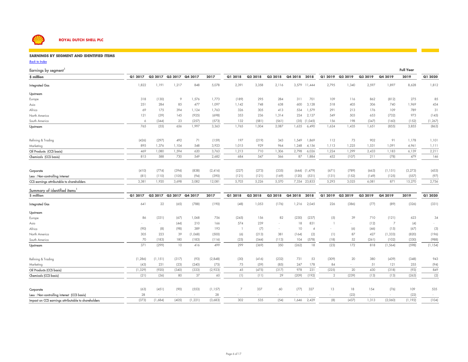

#### **EARNINGS BY SEGMENT AND IDENTIFIED ITEMS**

| <b>Back to Index</b>                                |          |                     |         |          |          |                |                     |         |         |                |                |                          |         |                |                  |          |
|-----------------------------------------------------|----------|---------------------|---------|----------|----------|----------------|---------------------|---------|---------|----------------|----------------|--------------------------|---------|----------------|------------------|----------|
| Earnings by segment                                 |          |                     |         |          |          |                |                     |         |         |                |                |                          |         |                | <b>Full Year</b> |          |
| \$ million                                          | Q1 2017  | Q <sub>2</sub> 2017 | Q3 2017 | Q4 2017  | 2017     | Q1 2018        | Q <sub>2</sub> 2018 | Q3 2018 | Q4 2018 | 2018           | Q1 2019        | Q2 2019                  | Q3 2019 | Q4 2019        | 2019             | Q1 2020  |
| <b>Integrated Gas</b>                               | 1,822    | 1,191               | 1,217   | 848      | 5,078    | 2,391          | 3,358               | 2,116   |         | 3,579 11,444   | 2,795          | 1,340                    | 2,597   | 1,897          | 8,628            | 1,812    |
| Upstream                                            |          |                     |         |          |          |                |                     |         |         |                |                |                          |         |                |                  |          |
| Europe                                              | 318      | (130)               | 9       | 1,576    | 1,773    | (189)          | 295                 | 284     | 311     | 701            | 109            | 116                      | 862     | (812)          | 275              | 85       |
| Asia                                                | 251      | 284                 | 85      | 477      | 1,097    | 1,142          | 748                 | 638     | 600     | 3,128          | 518            | 405                      | 306     | 740            | 1,969            | 434      |
| Africa                                              | 69       | 175                 | 394     | 1,124    | 1,763    | 326            | 305                 | 413     | 534     | 1,579          | 291            | 213                      | 176     | 109            | 789              | 31       |
| North America                                       | 121      | (39)                | 145     | (925)    | (698)    | 353            | 236                 | 1,314   | 224     | 2,127          | 549            | 503                      | 653     | (732)          | 973              | (145)    |
| South America                                       | 6        | (344)               | 23      | (257)    | (573)    | 132            | (581)               | (561)   | (35)    | (1,045)        | 156            | 198                      | (347)   | (160)          | (152)            | (1, 267) |
| Upstream                                            | 765      | (55)                | 656     | 1,997    | 3,363    | 1,765          | 1,004               | 2,087   | 1,635   | 6,490          | 1,624          | 1,435                    | 1,651   | (855)          | 3,855            | (863)    |
| Refining & Trading                                  | (426)    | (297)               | 492     | 71       | (159)    | 197            | (219)               | 343     | 1,549   | 1,869          | 112            | 73                       | 902     | 91             | 1,178            | 1,101    |
| Marketing                                           | 895      | 1,376               | 1,104   | 548      | 3,923    | 1,015          | 929                 | 964     | 1,248   | 4,156          | 1,113          | 1,225                    | 1,531   | 1,091          | 4,961            | 1,111    |
| Oil Products (CCS basis)                            | 469      | 1,080               | 1,594   | 620      | 3,763    | 1,213          | 710                 | 1,306   | 2,798   | 6,026          | 1,224          | 1,299                    | 2,433   | 1,183          | 6,139            | 2,211    |
| Chemicals (CCS basis)                               | 815      | 588                 | 730     | 549      | 2,682    | 684            | 547                 | 566     | 87      | 1,884          | 452            | (107)                    | 211     | (78)           | 479              | 146      |
| Corporate                                           | (410)    | (774)               | (394)   | (838)    | (2,416)  | (227)          | (273)               | (335)   | (644)   | (1,479)        | (671)          | (789)                    | (663)   | (1, 151)       | (3, 273)         | (453)    |
| Less : Non-controlling interest                     | (81)     | (110)               | (105)   | (94)     | (390)    | (121)          | (121)               | (169)   | (120)   | (531)          | (131)          | (152)                    | (149)   | (125)          | (557)            | (97)     |
| CCS earnings attributable to shareholders           | 3,381    | 1,920               | 3,698   | 3,082    | 12,081   | 5,703          | 5,226               | 5,570   |         | 7,334 23,833   | 5,293          | 3,025                    | 6,081   | 871            | 15,270           | 2,756    |
| Summary of identified items <sup>1</sup>            |          |                     |         |          |          |                |                     |         |         |                |                |                          |         |                |                  |          |
| \$ million                                          | Q1 2017  | Q <sub>2</sub> 2017 | Q3 2017 | Q4 2017  | 2017     | Q1 2018        | Q <sub>2</sub> 2018 | Q3 2018 | Q4 2018 | 2018           | Q1 2019        | Q <sub>2</sub> 2019      | Q3 2019 | Q4 2019        | 2019             | Q1 2020  |
| <b>Integrated Gas</b>                               | 641      | 22                  | (65)    | (788)    | (190)    | (48)           | 1,053               | (176)   | 1,216   | 2,045          | 226            | (386)                    | (77)    | (89)           | (326)            | (331)    |
| Upstream                                            |          |                     |         |          |          |                |                     |         |         |                |                |                          |         |                |                  |          |
| Europe                                              | 86       | (331)               | (67)    | 1,068    | 756      | (245)          | 156                 | 82      | (230)   | (237)          | (5)            | 39                       | 710     | (121)          | 623              | 34       |
| Asia                                                |          | $\sim$              | (44)    | 210      | 166      | 574            | 239                 | $\sim$  | 18      | 831            |                | $\overline{\phantom{a}}$ | (12)    | $\overline{7}$ | (4)              |          |
| Africa                                              | (90)     | (8)                 | (98)    | 389      | 193      | -1             | (7)                 | $\sim$  | 10      | $\overline{4}$ | $\sim$         | (6)                      | (46)    | (15)           | (67)             | (3)      |
| North America                                       | 305      | 223                 | 39      | (1,068)  | (500)    | (6)            | (213)               | 381     | (164)   | (2)            | (1)            | 87                       | 427     | (1, 333)       | (820)            | (196)    |
| South America                                       | 70       | (183)               | 180     | (183)    | (116)    | (25)           | (544)               | (113)   | 104     | (578)          | (18)           | 52                       | (261)   | (102)          | (330)            | (988)    |
| Upstream                                            | 371      | (299)               | 10      | 416      | 499      | 299            | (369)               | 350     | (262)   | 18             | (23)           | 172                      | 818     | (1, 564)       | (598)            | (1, 154) |
| Refining & Trading                                  | (1, 286) | (1, 151)            | (317)   | (93)     | (2,848)  | (30)           | (416)               | (232)   | 731     | 53             | (309)          | 20                       | 380     | (439)          | (348)            | 943      |
| Marketing                                           | (43)     | 231                 | (23)    | (240)    | (75)     | 75             | (59)                | (85)    | 247     | 178            | 84             | $\sim$                   | 51      | 121            | 255              | (94)     |
| Oil Products (CCS basis)                            | (1, 329) | (920)               | (340)   | (333)    | (2,923)  | 45             | (475)               | (317)   | 978     | 231            | (225)          | 20                       | 430     | (318)          | (93)             | 849      |
| Chemicals (CCS basis)                               | (21)     | (36)                | 80      | 37       | 60       | (1)            | (11)                | 29      | (209)   | (192)          | $\overline{2}$ | (239)                    | (13)    | (13)           | (263)            | (2)      |
| Corporate                                           | (63)     | (451)               | (90)    | (553)    | (1, 157) | $\overline{7}$ | 337                 | 60      | (77)    | 327            | 13             | 18                       | 154     | (76)           | 109              | 535      |
| Less: Non-controlling interest (CCS basis)          | 28       | $\sim$              | $\sim$  | $\sim$   | 28       | $\sim$         |                     | ٠       |         |                |                | (22)                     | $\sim$  | $\sim$         | (22)             | $\sim$   |
| Impact on CCS earnings attributable to shareholders | (373)    | (1,684)             | (405)   | (1, 221) | (3,683)  | 302            | 535                 | (54)    | 1,646   | 2,429          | (8)            | (437)                    | 1,313   | (2,060)        | (1, 192)         | (104)    |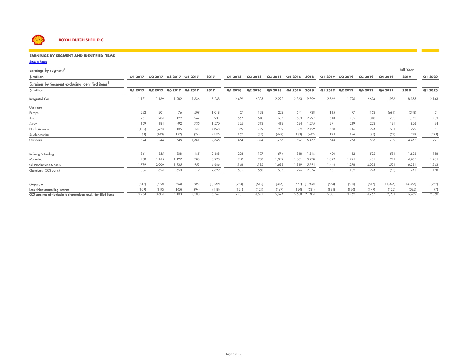

*Back to Index*

### **EARNINGS BY SEGMENT AND IDENTIFIED ITEMS**

| Earnings by segment'                                             |         |                     |                 |         |          |         |                     |         |         |                   |         |         |         |         | <b>Full Year</b> |         |
|------------------------------------------------------------------|---------|---------------------|-----------------|---------|----------|---------|---------------------|---------|---------|-------------------|---------|---------|---------|---------|------------------|---------|
| \$ million                                                       | Q1 2017 |                     | Q2 2017 Q3 2017 | Q4 2017 | 2017     | Q1 2018 | Q2 2018             | Q3 2018 | Q4 2018 | 2018              | Q1 2019 | Q2 2019 | Q3 2019 | Q4 2019 | 2019             | Q1 2020 |
| Earnings by Segment excluding identified items <sup>1</sup>      |         |                     |                 |         |          |         |                     |         |         |                   |         |         |         |         |                  |         |
| \$ million                                                       | Q1 2017 | Q <sub>2</sub> 2017 | Q3 2017         | Q4 2017 | 2017     | Q1 2018 | Q <sub>2</sub> 2018 | Q3 2018 | Q4 2018 | 2018              | Q1 2019 | Q2 2019 | Q3 2019 | Q4 2019 | 2019             | Q1 2020 |
| <b>Integrated Gas</b>                                            | 1,181   | 1,169               | 1,282           | 1,636   | 5,268    | 2,439   | 2,305               | 2,292   | 2,363   | 9,399             | 2,569   | 1,726   | 2,674   | 1,986   | 8,955            | 2,143   |
| Upstream                                                         |         |                     |                 |         |          |         |                     |         |         |                   |         |         |         |         |                  |         |
| Europe                                                           | 232     | 201                 | 76              | 509     | 1,018    | 57      | 138                 | 202     | 541     | 938               | 115     | 77      | 153     | (691)   | (348)            | 51      |
| Asia                                                             | 251     | 284                 | 129             | 267     | 931      | 567     | 510                 | 637     | 583     | 2,297             | 518     | 405     | 318     | 733     | 1,973            | 433     |
| Africa                                                           | 159     | 184                 | 492             | 735     | 1,570    | 325     | 313                 | 413     | 524     | 1,575             | 291     | 219     | 223     | 124     | 856              | 34      |
| North America                                                    | (185)   | (262)               | 105             | 144     | (197)    | 359     | 449                 | 932     | 389     | 2,129             | 550     | 416     | 224     | 601     | 1,792            | 51      |
| South America                                                    | (63)    | (163)               | (157)           | (74)    | (457)    | 157     | (37)                | (448)   | (139)   | (467)             | 174     | 146     | (85)    | (57)    | 178              | (278)   |
| Upstream                                                         | 394     | 244                 | 645             | 1,581   | 2,865    | 1,464   | 1,374               | 1,736   | 1,897   | 6,472             | 1,648   | 1,263   | 833     | 709     | 4,452            | 291     |
| Refining & Trading                                               | 861     | 855                 | 808             | 165     | 2,688    | 228     | 197                 | 574     | 818     | 1,816             | 420     | 52      | 522     | 531     | 1,526            | 158     |
| Marketing                                                        | 938     | 1,145               | 1.127           | 788     | 3,998    | 940     | 988                 | 1,049   | 1,001   | 3,978             | 1,029   | 1,225   | 1,481   | 971     | 4,705            | 1,205   |
| Oil Products (CCS basis)                                         | 1,799   | 2,000               | 1,935           | 953     | 6,686    | 1,168   | 1,185               | 1,623   | 1,819   | 5,794             | 1,448   | 1,278   | 2,003   | 1,501   | 6,231            | 1,363   |
| Chemicals (CCS basis)                                            | 836     | 624                 | 650             | 512     | 2,622    | 685     | 558                 | 537     | 296     | 2,076             | 451     | 132     | 224     | (65)    | 741              | 148     |
| Corporate                                                        | (347)   | (323)               | (304)           | (285)   | (1, 259) | (234)   | (610)               | (395)   |         | $(567)$ $(1,806)$ | (684)   | (806)   | (817)   | (1,075) | (3, 383)         | (989)   |
| Less : Non-controlling interest                                  | (109)   | (110)               | (105)           | (94)    | (418)    | (121)   | (121)               | (169)   | (120)   | (531)             | (131)   | (130)   | (149)   | (125)   | (535)            | (97)    |
| CCS earnings attributable to shareholders excl. identified items | 3.754   | 3,604               | 4,103           | 4.303   | 15.764   | 5,401   | 4.691               | 5,624   |         | 5,688 21,404      | 5,301   | 3.462   | 4,767   | 2,931   | 16,462           | 2,860   |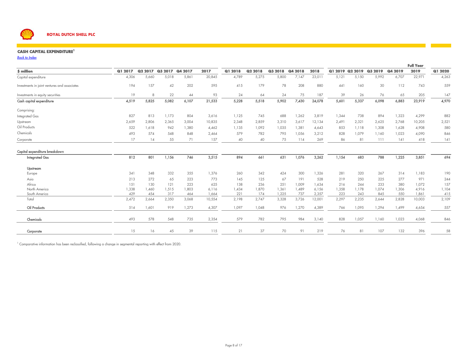

#### **CASH CAPITAL EXPENDITURE<sup>1</sup>**

*Back to Index*

|                                              |         |                     |       |                 |        |         |         |         |         |        |       |                 |         |         | <b>Full Year</b> |         |
|----------------------------------------------|---------|---------------------|-------|-----------------|--------|---------|---------|---------|---------|--------|-------|-----------------|---------|---------|------------------|---------|
| \$ million                                   | Q1 2017 | Q <sub>2</sub> 2017 |       | Q3 2017 Q4 2017 | 2017   | Q1 2018 | Q2 2018 | Q3 2018 | Q4 2018 | 2018   |       | Q1 2019 Q2 2019 | Q3 2019 | Q4 2019 | 2019             | Q1 2020 |
| Capital expenditure                          | 4,306   | 5,660               | 5,018 | 5,861           | 20,845 | 4,789   | 5,275   | 5,800   | 7,147   | 23,011 | 5,121 | 5,150           | 5,992   | 6,707   | 22,971           | 4,263   |
| Investments in joint ventures and associates | 194     | 157                 | 42    | 202             | 595    | 415     | 179     | 78      | 208     | 880    | 441   | 160             | 30      | 112     | 743              | 559     |
| Investments in equity securities             | 19      | 8                   | 22    | 44              | 93     | 24      | 64      | 24      | 75      | 187    | 39    | 26              | 76      | 65      | 205              | 147     |
| Cash capital expenditure                     | 4,519   | 5,825               | 5,082 | 6,107           | 21,533 | 5,228   | 5,518   | 5,902   | 7,430   | 24,078 | 5,601 | 5,337           | 6,098   | 6,883   | 23,919           | 4,970   |
| Comprising:                                  |         |                     |       |                 |        |         |         |         |         |        |       |                 |         |         |                  |         |
| <b>Integrated Gas</b>                        | 827     | 813                 | 1,173 | 804             | 3,616  | 1,125   | 745     | 688     | 1,262   | 3,819  | 1,344 | 738             | 894     | 1,323   | 4,299            | 882     |
| Upstream                                     | 2,659   | 2,806               | 2,365 | 3,004           | 10,835 | 2,348   | 2,859   | 3,310   | 3,617   | 12,134 | 2,491 | 2,321           | 2,625   | 2,768   | 10,205           | 2,521   |
| Oil Products                                 | 522     | 1,618               | 942   | 1,380           | 4,462  | 1,135   | 1,092   | 1,035   | 1,381   | 4,643  | 853   | 1,118           | 1,308   | 1,628   | 4,908            | 580     |
| Chemicals                                    | 493     | 574                 | 548   | 848             | 2,464  | 579     | 782     | 795     | 1,056   | 3,212  | 828   | 1,079           | 1,160   | 1,023   | 4,090            | 846     |
| Corporate                                    | 17      | 14                  | 55    | 71              | 157    | 40      | 40      | 75      | 114     | 269    | 86    | 81              | 111     | 141     | 418              | 141     |
| Capital expenditure breakdown                |         |                     |       |                 |        |         |         |         |         |        |       |                 |         |         |                  |         |
| <b>Integrated Gas</b>                        | 812     | 801                 | 1,156 | 746             | 3,515  | 894     | 661     | 631     | 1,076   | 3,262  | 1,154 | 683             | 788     | 1,225   | 3,851            | 694     |
| Upstream                                     |         |                     |       |                 |        |         |         |         |         |        |       |                 |         |         |                  |         |
| Europe                                       | 341     | 348                 | 332   | 355             | 1,376  | 260     | 342     | 424     | 300     | 1,326  | 281   | 320             | 267     | 314     | 1,183            | 190     |
| Asia                                         | 213     | 272                 | 65    | 223             | 773    | 145     | 125     | 67      | 191     | 528    | 219   | 250             | 225     | 277     | 971              | 244     |
| Africa                                       | 151     | 130                 | 121   | 223             | 625    | 138     | 236     | 251     | 1,009   | 1,634  | 216   | 244             | 233     | 380     | 1,072            | 157     |
| North America                                | 1,338   | 1,460               | 1,515 | 1,803           | 6,116  | 1,434   | 1,870   | 1,361   | 1,489   | 6,156  | 1,358 | 1,178           | 1,074   | 1,306   | 4,916            | 1,104   |
| South America                                | 429     | 454                 | 317   | 464             | 1,664  | 221     | 174     | 1,225   | 737     | 2,357  | 223   | 243             | 845     | 550     | 1,861            | 415     |
| Total                                        | 2,472   | 2,664               | 2,350 | 3,068           | 10,554 | 2,198   | 2,747   | 3,328   | 3,726   | 12,001 | 2,297 | 2,235           | 2,644   | 2,828   | 10,003           | 2,109   |
| Oil Products                                 | 514     | 1,601               | 919   | 1,273           | 4,307  | 1,097   | 1,048   | 976     | 1,270   | 4,389  | 766   | 1,095           | 1,294   | 1,499   | 4,654            | 557     |
| Chemicals                                    | 493     | 578                 | 548   | 735             | 2,354  | 579     | 782     | 795     | 984     | 3,140  | 828   | 1,057           | 1,160   | 1,023   | 4,068            | 846     |
| Corporate                                    | 15      | 16                  | 45    | 39              | 115    | 21      | 37      | 70      | 91      | 219    | 76    | 81              | 107     | 132     | 396              | 58      |

1 Comparative information has been reclassified, following a change in segmental reporting with effect from 2020.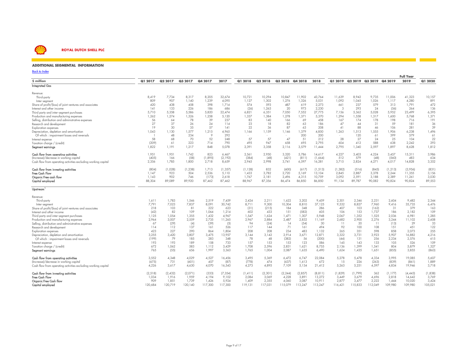

| Back to Index                                                 |          |                     |          |         |          |          |                     |          |                 |          |          |         |                                 |          | <b>Full Year</b> |         |
|---------------------------------------------------------------|----------|---------------------|----------|---------|----------|----------|---------------------|----------|-----------------|----------|----------|---------|---------------------------------|----------|------------------|---------|
| \$ million                                                    | Q1 2017  | Q <sub>2</sub> 2017 | Q3 2017  | Q4 2017 | 2017     | Q1 2018  | Q <sub>2</sub> 2018 |          | Q3 2018 Q4 2018 | 2018     |          |         | Q1 2019 Q2 2019 Q3 2019 Q4 2019 |          | 2019             | Q1 2020 |
| <b>Integrated Gas</b>                                         |          |                     |          |         |          |          |                     |          |                 |          |          |         |                                 |          |                  |         |
| Revenue:                                                      |          |                     |          |         |          |          |                     |          |                 |          |          |         |                                 |          |                  |         |
| Third-party                                                   | 8,419    | 7,734               | 8,317    | 8,205   | 32,674   | 10,721   | 10,294              | 10,847   | 11,902          | 43,764   | 11,639   | 8,942   | 9,735                           | 11,006   | 41,323           | 10,157  |
| Inter-seament                                                 | 809      | 907                 | 1,140    | 1,239   | 4,095    | 1,127    | 1,302               | 1,276    | 1,326           | 5,031    | 1,092    | 1,045   | 1,026                           | 1,117    | 4,280            | 891     |
| Share of profit/(loss) of joint ventures and associates       | 420      | 438                 | 458      | 398     | 1,714    | 574      | 593                 | 487      | 619             | 2,273    | 661      | 237     | 579                             | 313      | 1,791            | 472     |
| Interest and other income                                     | 141      | 133                 | 226      | 186     | 686      | (26)     | 1,263               | 20       | 973             | 2,230    | 3        | 293     | 24                              | (56)     | 264              | 136     |
| Third party and inter-seament purchases                       | 5.710    | 5.358               | 5,586    | 5,820   | 22,474   | 6,821    | 6,351               | 7,050    | 7,552           | 27.775   | 7,156    | 5,362   | 5,028                           | 5,952    | 23,499           | 6,395   |
| Production and manufacturing expenses                         | 1.262    | 1.274               | 1,326    | 1,258   | 5.120    | 1.337    | 1.384               | 1.278    | 1.371           | 5.370    | 1.294    | 1.558   | 1.317                           | 1,600    | 5,768            | 1,371   |
| Selling, distribution and administrative expenses             | 56       | 64                  | 78       | 39      | 237      | 83       | 140                 | 166      | 69              | 458      | 167      | 174     | 178                             | 198      | 716              | 191     |
| Research and development                                      | 27       | 37                  | 26       | 24      | 114      | 23       | 18                  | 82       | 63              | 186      | 47       | 44      | 31                              | 59       | 181              | 36      |
| <b>Exploration</b> expenses                                   | 19       | 30                  | 35       | 57      | 4        | 22       | 36                  | 87       | 63              | 208      | 41       | 88      | 46                              | 106      | 281              | 39      |
| Depreciation, depletion and amortisation                      | 1,043    | 1,130               | 1,577    | 1,215   | 4,965    | 1,166    | 1,159               | 1.146    | 1,379           | 4,850    | 1,263    | 1,513   | 1,555                           | 1,906    | 6,238            | 1,496   |
| Of which : impairment losses and reversals                    |          | 48                  | 234      | 9       | 292      | $\sim$   |                     |          | 200             | 200      | $\sim$   | 120     | 61                              | 399      | 579              | 61      |
| Interest expense                                              | 58       | 68                  | 70       | 52      | 248      | 57       | 57                  | 47       | 51              | 212      | 28       | 27      | 24                              | 25       | 104              | 22      |
| Taxation charge / (credit)                                    | (209)    | 61                  | 223      | 714     | 790      | 495      | 947                 | 658      | 695             | 2,795    | 604      | 412     | 588                             | 638      | 2,242            | 293     |
| Seament earnings                                              | 1.822    | 1.191               | 1.217    | 848     | 5.078    | 2.391    | 3.358               | 2.116    | 3,579           | 11.444   | 2.795    | 1,340   | 2.597                           | 1,897    | 8,628            | 1,812   |
| Cash flow from operating activities                           | 1.951    | 1.951               | 1.742    | 823     | 6,467    | 2,561    | 2,950               | 3,320    | 5.786           | 14,617   | 4,227    | 3,403   | 4,224                           | 3,457    | 15,311           | 3,986   |
| (Increase)/decrease in working capital                        | (405)    | 166                 | (58)     | (1,895) | (2,192)  | (384)    | (48)                | (421)    | (811)           | (1,664)  | 512      | 579     | (48)                            | (560)    | 483              | 634     |
| Cash flow from operating activities excluding working capital | 2,356    | 1,785               | 1,800    | 2,718   | 8,659    | 2.945    | 2,998               | 3.741    | 6,597           | 16,281   | 3,715    | 2,824   | 4,271                           | 4,017    | 14,828           | 3,352   |
| Cash flow from investing activities                           | (804)    | (1,028)             | (1, 238) | 1,713   | (1, 357) | (1, 128) | 832                 | (600)    | (617)           | (1, 513) | (1, 382) | (516)   | (845)                           | (1, 213) | (3,956)          | (831)   |
| <b>Free Cash Flow</b>                                         | 1.147    | 923                 | 504      | 2,536   | 5.110    | 1.433    | 3,782               | 2,720    | 5,169           | 13,104   | 2,845    | 2,887   | 3.378                           | 2,244    | 11.355           | 3,156   |
| Organic Free cash flow                                        | 1,143    | 902                 | 746      | (173)   | 2,618    | 1,767    | 2,181               | 2,496    | 4,315           | 10,759   | 3,092    | 2,591   | 3,188                           | 2,389    | 11,261           | 3,030   |
| Capital employed                                              | 88,304   | 89,089              | 89,920   | 87,462  | 87,462   | 88,967   | 87,356              | 86,474   | 86,850          | 86,850   | 91,134   | 89,787  | 90,082                          | 90,824   | 90,824           | 89,553  |
| Upstream                                                      |          |                     |          |         |          |          |                     |          |                 |          |          |         |                                 |          |                  |         |
| Revenue:                                                      |          |                     |          |         |          |          |                     |          |                 |          |          |         |                                 |          |                  |         |
| Third-party                                                   | 1.611    | 1,783               | 1,546    | 2,519   | 7,459    | 2,424    | 2,211               | 1,622    | 3,202           | 9.459    | 2,301    | 2,346   | 2,231                           | 2,604    | 9,482            | 2,344   |
| Inter-seament                                                 | 7,791    | 7,023               | 7,837    | 8,091   | 30,742   | 8,711    | 9,300               | 10,304   | 8,810           | 37,125   | 9,532    | 8,827   | 7,960                           | 9,416    | 35,735           | 6,476   |
| Share of profit/(loss) of joint ventures and associates       | 218      | 103                 | 81       | 222     | 623      | (31)     | (215)               | 184      | 348             | 286      | 407      | 103     | (162)                           | 31       | 379              | 163     |
| Interest and other income                                     | (42)     | 82                  | 109      | 1,064   | 1,214    | 602      | 433                 | 151      | (582)           | 605      | 106      | 153     | 1,737                           | 186      | 2,182            | 109     |
| Third party and inter-segment purchases                       | 1,125    | 1,054               | 1,355    | 1,432   | 4,967    | 1,547    | 1,624               | 1.471    | 1,307           | 5,948    | 2,067    | 1,352   | 1,525                           | 2,036    | 6,981            | 1,285   |
| Production and manufacturing expenses                         | 2,964    | 3,007               | 2,559    | 2,735   | 11,265   | 2,967    | 2,884               | 2,487    | 2,832           | 11,169   | 2,682    | 2,900   | 2,276                           | 3,244    | 11,102           | 2,608   |
| Selling, distribution and administrative expenses             | 67       | (29)                | (4)      | (39)    | (5)      | 94       | (24)                | 14       | (54)            | 30       | 11       | 20      | 11                              | (13)     | 29               | 33      |
| Research and development                                      | 114      | 112                 | 137      | 161     | 526      | 117      | 144                 | 71       | 161             | 494      | 92       | 100     | 108                             | 151      | 451              | 122     |
| <b>Exploration</b> expenses                                   | 423      | 227                 | 290      | 864     | 1,804    | 208      | 208                 | 234      | 483             | 1,132    | 265      | 351     | 598                             | 858      | 2,073            | 255     |
| Depreciation, depletion and amortisation                      | 3.255    | 3,420               | 3.807    | 3.475   | 13.957   | 3.144    | 3.142               | 2,914    | 3,671           | 12.871   | 3,322    | 3.731   | 3.923                           | 5.907    | 16,882           | 4,216   |
| Of which: impairment losses and reversals                     | (199)    | 79                  | 185      | 283     | 348      | 78       | 48                  | (382)    | 56              | (200)    | (44)     | 131     | 256                             | 2.234    | 2.576            | 615     |
| Interest expense                                              | 193      | 193                 | 189      | 158     | 733      | 157      | 153                 | 153      | 123             | 586      | 145      | 143     | 133                             | 105      | 526              | 109     |
| Taxation charge / (credit)                                    | 672      | 1.062               | 583      | 1.112   | 3.429    | 1.708    | 2,596               | 2,831    | 1,621           | 8.755    | 2.136    | 1.399   | 1,541                           | 804      | 5,879            | 1,327   |
| Seament earnings                                              | 765      | (55)                | 656      | 1.997   | 3.363    | 1.765    | 1.004               | 2.087    | 1,635           | 6.490    | 1.624    | 1,435   | 1,651                           | (855)    | 3,855            | (863)   |
| Cash flow from operatina activities                           | 3.552    | 4.348               | 4.029    | 4,527   | 16.456   | 3.495    | 5.369               | 6.472    | 6.747           | 22.084   | 5.278    | 5.478   | 4.334                           | 3.995    | 19.085           | 5.607   |
| (Increase)/decrease in working capital                        | (675)    | 731                 | (601)    | 457     | (87)     | (778)    | 474                 | (637)    | 1,613           | 672      | 15       | 226     | (263)                           | (839)    | (861)            | 1,889   |
| Cash flow from operating activities excluding working capital | 4,226    | 3,617               | 4,630    | 4,070   | 16,543   | 4,273    | 4,895               | 7,109    | 5,134           | 21,412   | 5,263    | 5,251   | 4,597                           | 4,834    | 19,946           | 3,718   |
| Cash flow from investing activities                           | (2, 518) | (2,432)             | (2,071)  | (333)   | (7, 354) | (1, 411) | (2, 301)            | (2, 244) | (2, 857)        | (8, 811) | (1,829)  | (1,799) | 362                             | (1, 177) | (4, 443)         | (1,838) |
| <b>Free Cash Flow</b>                                         | 1,034    | 1,916               | 1,959    | 4,194   | 9,102    | 2,084    | 3,069               | 4,228    | 3,891           | 13,272   | 3,449    | 3,679   | 4,696                           | 2,818    | 14,642           | 3,769   |
| Organic Free Cash flow                                        | 909      | 1,851               | 1,739    | 1,426   | 5,924    | 1,409    | 2,355               | 4,060    | 3,087           | 10,911   | 2,877    | 3,477   | 2,222                           | 1,444    | 10,020           | 3,424   |
| Capital employed                                              | 120,684  | 120,719             | 120,140  | 117,300 | 117,300  | 119,131  | 117,031             | 115,079  | 113,247         | 113,247  | 116,421  | 115,833 | 112,049                         | 109,980  | 109,980          | 105,021 |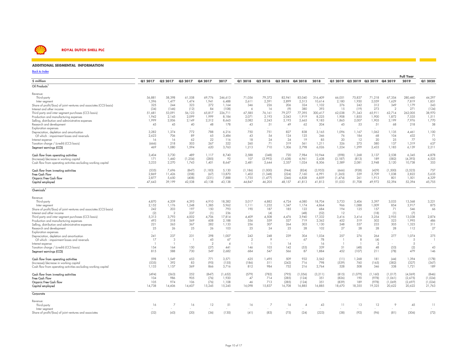

| Back to Index                                                                                                                                                                                                                                                                                                                                                                                                                                                                                                                                 |                                                                                      |                                                                                               |                                                                                |                                                                                                                    |                                                                                                                            |                                                                                          |                                                                                           |                                                                               |                                                                                                           |                                                                                                        |                                                                            |                                                                                                                         |                                                                                            |                                                                                                   | <b>Full Year</b>                                                                                             |                                                                                 |
|-----------------------------------------------------------------------------------------------------------------------------------------------------------------------------------------------------------------------------------------------------------------------------------------------------------------------------------------------------------------------------------------------------------------------------------------------------------------------------------------------------------------------------------------------|--------------------------------------------------------------------------------------|-----------------------------------------------------------------------------------------------|--------------------------------------------------------------------------------|--------------------------------------------------------------------------------------------------------------------|----------------------------------------------------------------------------------------------------------------------------|------------------------------------------------------------------------------------------|-------------------------------------------------------------------------------------------|-------------------------------------------------------------------------------|-----------------------------------------------------------------------------------------------------------|--------------------------------------------------------------------------------------------------------|----------------------------------------------------------------------------|-------------------------------------------------------------------------------------------------------------------------|--------------------------------------------------------------------------------------------|---------------------------------------------------------------------------------------------------|--------------------------------------------------------------------------------------------------------------|---------------------------------------------------------------------------------|
| \$ million                                                                                                                                                                                                                                                                                                                                                                                                                                                                                                                                    | Q1 2017                                                                              | Q <sub>2</sub> 2017                                                                           | Q3 2017                                                                        | Q4 2017                                                                                                            | 2017                                                                                                                       | Q1 2018                                                                                  | Q <sub>2</sub> 2018                                                                       | Q3 2018                                                                       | Q4 2018                                                                                                   | 2018                                                                                                   |                                                                            | Q1 2019 Q2 2019                                                                                                         | Q3 2019                                                                                    | Q4 2019                                                                                           | 2019                                                                                                         | Q1 2020                                                                         |
| Oil Products                                                                                                                                                                                                                                                                                                                                                                                                                                                                                                                                  |                                                                                      |                                                                                               |                                                                                |                                                                                                                    |                                                                                                                            |                                                                                          |                                                                                           |                                                                               |                                                                                                           |                                                                                                        |                                                                            |                                                                                                                         |                                                                                            |                                                                                                   |                                                                                                              |                                                                                 |
| Revenue:<br>Third-party<br>Inter-seamen<br>Share of profit/(loss) of joint ventures and associates (CCS basis)<br>Interest and other income<br>Third party and inter-segment purchases (CCS basis)<br>Production and manufacturing expenses<br>Selling, distribution and administrative expenses<br>Research and development                                                                                                                                                                                                                  | 56,881<br>1.596<br>325<br>(34)<br>51,681<br>1.942<br>1,999<br>45                     | 58,398<br>1.477<br>244<br>(146)<br>53,091<br>2.145<br>2,006<br>45                             | 61,558<br>1.474<br>323<br>(12)<br>56,123<br>2.099<br>2,149<br>40               | 69.776<br>1.941<br>272<br>84<br>65,817<br>1.999<br>2,512<br>48                                                     | 246,613<br>6.488<br>1,164<br>(108)<br>226,711<br>8.184<br>8,665<br>178                                                     | 71,056<br>2,611<br>346<br>6<br>67,585<br>2,071<br>2,082<br>43                            | 79,372<br>2,591<br>226<br>16<br>76,161<br>2.193<br>2,243<br>51                            | 82,941<br>2,899<br>206<br>(9)<br>79,277<br>2.043<br>2,193<br>49               | 83,040<br>2,513<br>324<br>380<br>77,395<br>1,919<br>2,665<br>62                                           | 316,409<br>10,614<br>1,102<br>393<br>300,417<br>8.225<br>9,183<br>204                                  | 66,051<br>2.180<br>276<br>15<br>62,038<br>1.908<br>1,865<br>45             | 75,837<br>1.950<br>242<br>(19)<br>71,343<br>1,855<br>2,007<br>53                                                        | 71,218<br>2,059<br>312<br>273<br>65,911<br>1.900<br>1,905<br>51                            | 67,354<br>1.629<br>349<br>$\overline{2}$<br>62,714<br>1.872<br>2,199<br>68                        | 280,460<br>7,819<br>1,179<br>271<br>262,005<br>7,535<br>7,976<br>218                                         | 44,297<br>1,851<br>243<br>(124)<br>38,970<br>1,511<br>1,770<br>58               |
| <b>Exploration</b> expenses<br>Depreciation, depletion and amortisation<br>Of which : impairment losses and reversals<br>Interest expense<br>Taxation charge / (credit) (CCS basis)<br>Segment earnings (CCS)                                                                                                                                                                                                                                                                                                                                 | 3,282<br>2,623<br>16<br>(666)<br>469                                                 | 1,374<br>706<br>16<br>218<br>1,080                                                            | 772<br>89<br>62<br>503<br>1,594                                                | 788<br>65<br>22<br>267<br>620                                                                                      | ÷<br>6,216<br>3.484<br>116<br>322<br>3,763                                                                                 | 750<br>43<br>18<br>260<br>1,213                                                          | 751<br>54<br>24<br>71<br>710                                                              | 827<br>124<br>24<br>319<br>1,306                                              | $\sim$<br>838<br>125<br>19<br>561<br>2,798                                                                | 3,165<br>346<br>85<br>1.211<br>6,026                                                                   | 1,096<br>76<br>20<br>326<br>1,224                                          | 1,167<br>184<br>12<br>275<br>1,299                                                                                      | 1,062<br>68<br>20<br>580<br>2,433                                                          | 1,135<br>104<br>25<br>137<br>1,183                                                                | 4,461<br>432<br>77<br>1,319<br>6,139                                                                         | 1,100<br>71<br>10<br>637<br>2,211                                               |
| Cash flow from operating activities<br>(Increase)/decrease in working capital<br>Cash flow from operating activities excluding working capital                                                                                                                                                                                                                                                                                                                                                                                                | 3,404<br>171<br>3,233                                                                | 3,730<br>1,460<br>2,270                                                                       | 489<br>(1, 254)<br>1,743                                                       | 1,117<br>(285)<br>1,401                                                                                            | 8,740<br>92<br>8,647                                                                                                       | 2,588<br>107<br>2,481                                                                    | (348)<br>(2,992)<br>2,644                                                                 | 720<br>(1,638)<br>2,357                                                       | 7,984<br>6,961<br>1,024                                                                                   | 10,944<br>2,438<br>8,506                                                                               | (598)<br>(3, 187)<br>2,589                                                 | 1,268<br>(813)<br>2,081                                                                                                 | 3,137<br>189<br>2,948                                                                      | 2,538<br>(582)<br>3,120                                                                           | 6,345<br>(4, 393)<br>10,738                                                                                  | 4,878<br>4,525<br>353                                                           |
| Cash flow from investing activities<br><b>Free Cash Flow</b><br>Organic Free Cash flow<br>Capital employed                                                                                                                                                                                                                                                                                                                                                                                                                                    | (535)<br>2,869<br>2,877<br>47,643                                                    | 7.696<br>11,426<br>5,650<br>39,199                                                            | (847)<br>(358)<br>(408)<br>42,538                                              | (1, 183)<br>(67)<br>(231)<br>43,138                                                                                | 5.130<br>13,870<br>7,888<br>43,138                                                                                         | (1, 186)<br>1,402<br>1,755<br>44,847                                                     | (1.000)<br>(1, 348)<br>(1,477)<br>46,205                                                  | (944)<br>(224)<br>(246)<br>48,157                                             | (824)<br>7,160<br>6,828<br>41,813                                                                         | (3.953)<br>6,991<br>6,859<br>41,813                                                                    | (666)<br>(1, 265)<br>(1,474)<br>51,033                                     | (928)<br>339<br>261<br>51,708                                                                                           | (429)<br>2,709<br>1,913<br>49,972                                                          | (1,500)<br>1,038<br>801<br>52,394                                                                 | (3.523)<br>2,822<br>1,501<br>52,394                                                                          | 757<br>5,635<br>4,329<br>45,755                                                 |
| Chemicals <sup>1</sup>                                                                                                                                                                                                                                                                                                                                                                                                                                                                                                                        |                                                                                      |                                                                                               |                                                                                |                                                                                                                    |                                                                                                                            |                                                                                          |                                                                                           |                                                                               |                                                                                                           |                                                                                                        |                                                                            |                                                                                                                         |                                                                                            |                                                                                                   |                                                                                                              |                                                                                 |
| Revenue:<br>Third-party<br>Inter-seamen<br>Share of profit/(loss) of joint ventures and associates (CCS basis)<br>Interest and other income<br>Third party and inter-seament purchases (CCS basis)<br>Production and manufacturing expenses<br>Selling, distribution and administrative expenses<br>Research and development<br><b>Exploration</b> expenses<br>Depreciation, depletion and amortisation<br>Of which : impairment losses and reversals<br>Interest expense<br>Taxation charge / (credit) (CCS basis)<br>Seament earnings (CCS) | 4,870<br>2,152<br>242<br>(2)<br>5,313<br>493<br>221<br>25<br>241<br>17<br>154<br>815 | 4,209<br>1,176<br>203<br>$\mathcal{L}$<br>3,793<br>518<br>263<br>26<br>237<br>3<br>164<br>588 | 4,393<br>1,248<br>197<br>237<br>4,002<br>569<br>367<br>25<br>231<br>150<br>730 | 4.910<br>1,385<br>150<br>(1)<br>4,706<br>608<br>282<br>26<br>298<br>4.5<br>$\overline{\phantom{a}}$<br>(27)<br>549 | 18,382<br>5,962<br>793<br>236<br>17,814<br>2.188<br>1,133<br>103<br>$\sim$<br>1,007<br>67<br>$\mathcal{A}$<br>441<br>2,682 | 5,017<br>1,111<br>190<br>4,409<br>556<br>256<br>25<br>242<br>$\mathcal{P}$<br>146<br>684 | 4,882<br>1,232<br>187<br>(4)<br>4,508<br>559<br>307<br>24<br>248<br>$\circ$<br>103<br>547 | 4,724<br>1,347<br>185<br>4,476<br>527<br>264<br>25<br>239<br>14<br>142<br>566 | 4,080<br>1,174<br>122<br>(48)<br>3,940<br>719<br>303<br>28<br>$\sim$<br>304<br>67<br>$\sim$<br>(53)<br>87 | 18,704<br>4,864<br>684<br>(52)<br>17,332<br>2,362<br>1,130<br>102<br>1,034<br>78<br>16<br>339<br>1,884 | 3,733<br>966<br>194<br>12<br>3,416<br>452<br>248<br>27<br>257<br>51<br>452 | 3,406<br>1,088<br>125<br>3,414<br>519<br>537<br>28<br>$\sim$<br>276<br>$\mathcal{R}$<br>$\overline{1}$<br>(48)<br>(107) | 3,397<br>1,009<br>157<br>(18)<br>3,254<br>502<br>233<br>28<br>264<br>(4)<br>3<br>48<br>211 | 3,033<br>854<br>71<br>(1)<br>2,955<br>523<br>305<br>28<br>$\sim$<br>277<br>$\sim$<br>(53)<br>(78) | 13,568<br>3,917<br>546<br>(7)<br>13,038<br>1.995<br>1,323<br>112<br>$\sim$<br>1,074<br>-5<br>5<br>(2)<br>479 | 3,221<br>875<br>66<br>2,874<br>486<br>311<br>$27$<br>$\sim$<br>275<br>43<br>146 |
| Cash flow from operating activities<br>(Increase)/decrease in working capital<br>Cash flow from operating activities excluding working capital                                                                                                                                                                                                                                                                                                                                                                                                | 598<br>(535)<br>1,133                                                                | 1,549<br>392<br>1,157                                                                         | 653<br>83<br>569                                                               | 771<br>(95)<br>866                                                                                                 | 3,571<br>(155)<br>3,716                                                                                                    | 625<br>(186)<br>812                                                                      | 1,495<br>511<br>984                                                                       | 509<br>(242)<br>752                                                           | 932<br>716<br>216                                                                                         | 3,562<br>798<br>2,764                                                                                  | (11)<br>(539)<br>528                                                       | 1,268<br>760<br>508                                                                                                     | 181<br>(165)<br>346                                                                        | (44)<br>(382)<br>338                                                                              | 1,394<br>(327)<br>1.721                                                                                      | (178)<br>(367)<br>189                                                           |
| Cash flow from investing activities<br><b>Free Cash Flow</b><br>Organic Free Cash flow<br>Capital employed                                                                                                                                                                                                                                                                                                                                                                                                                                    | (494)<br>104<br>105<br>14,738                                                        | (563)<br>986<br>974<br>14,606                                                                 | 252<br>905<br>106<br>14,607                                                    | (847)<br>(76)<br>(76)<br>15,245                                                                                    | (1,652)<br>1,920<br>1,108<br>15,245                                                                                        | (579)<br>47<br>46<br>16,098                                                              | (782)<br>714<br>713<br>15,837                                                             | (795)<br>(285)<br>(285)<br>16,708                                             | (1,056)<br>(124)<br>(124)<br>16,885                                                                       | (3,211)<br>351<br>351<br>16,885                                                                        | (815)<br>(826)<br>(839)<br>18,670                                          | (1,079)<br>190<br>189<br>18,355                                                                                         | (1, 160)<br>(978)<br>(978)<br>19,325                                                       | (1,017)<br>(1,061)<br>(1,069)<br>20,622                                                           | (4,069)<br>(2,675)<br>(2,697)<br>20,622                                                                      | (846)<br>(1,024)<br>(1,024)<br>21,763                                           |
| Corporate                                                                                                                                                                                                                                                                                                                                                                                                                                                                                                                                     |                                                                                      |                                                                                               |                                                                                |                                                                                                                    |                                                                                                                            |                                                                                          |                                                                                           |                                                                               |                                                                                                           |                                                                                                        |                                                                            |                                                                                                                         |                                                                                            |                                                                                                   |                                                                                                              |                                                                                 |
| Revenue:<br>Third-party<br>Inter-seament<br>Share of profit/(loss) of joint ventures and associates                                                                                                                                                                                                                                                                                                                                                                                                                                           | 16<br>(32)                                                                           | (43)                                                                                          | 16<br>(20)                                                                     | 12<br>(36)                                                                                                         | 51<br>(130)                                                                                                                | 16<br>(41)                                                                               | (83)                                                                                      | 16<br>(75)                                                                    | (24)                                                                                                      | 43<br>(223)                                                                                            | 11<br>(38)                                                                 | 13<br>(92)                                                                                                              | 12<br>(96)                                                                                 | 9<br>(81)                                                                                         | 45<br>(306)                                                                                                  | 11<br>(72)                                                                      |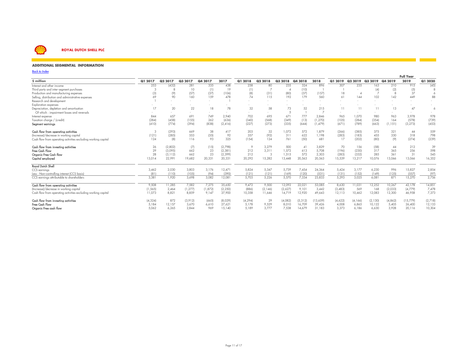

|                                                               |          |                     |          |         |          |          |                     |         |          |          |         |          |          |          | <b>Full Year</b> |         |
|---------------------------------------------------------------|----------|---------------------|----------|---------|----------|----------|---------------------|---------|----------|----------|---------|----------|----------|----------|------------------|---------|
| \$ million                                                    | Q1 2017  | Q <sub>2</sub> 2017 | Q3 2017  | Q4 2017 | 2017     | Q1 2018  | Q <sub>2</sub> 2018 | Q3 2018 | Q4 2018  | 2018     | Q1 2019 | Q2 2019  | Q3 2019  | Q4 2019  | 2019             | Q1 2020 |
| Interest and other income                                     | 253      | (432)               | 281      | 335     | 438      | 258      | 80                  | 235     | 324      | 896      | 307     | 235      | 163      | 210      | 915              | (45)    |
| Third party and inter-seament purchases                       |          | 8                   | 10       | (1)     | 19       | (1)      | $\overline{7}$      |         | (10)     |          |         |          | (4)      | (2)      | (5)              | 8       |
| Production and manufacturing expenses                         | (3)      | (9)                 | (57)     | (37)    | (106)    | (8)      | (31)                | (80)    | (37)     | (157)    | 18      | $\Delta$ |          |          | 37               | 6       |
| Selling, distribution and administrative expenses             | 69       | 90                  | 160      | 159     | 478      | 74       | 115                 | 192     | 179      | 560      | 61      | 144      | 102      | 142      | 449              | 88      |
| Research and development                                      |          |                     |          |         |          | $\sim$   |                     | $\sim$  | $\sim$   |          |         | $\sim$   |          |          | $\sim$           |         |
| <b>Exploration</b> expenses                                   |          |                     |          |         | $\sim$   |          |                     |         |          |          |         |          |          |          |                  |         |
| Depreciation, depletion and amortisation                      | 17       | 20                  | 22       | 18      | 78       | 32       | 58                  | 73      | 52       | 215      | 11      | 11       |          | 13       | 47               | 6       |
| Of which : impairment losses and reversals                    |          |                     |          |         | $\sim$   | $\sim$   |                     | -5      |          |          |         | $\sim$   |          |          | $\sim$           |         |
| Interest expense                                              | 844      | 657                 | 691      | 749     | 2,940    | 702      | 695                 | 671     | 777      | 2.846    | 965     | 1.070    | 980      | 963      | 3,978            | 978     |
| Taxation charae / (credit)                                    | (284)    | (458)               | (155)    | 262     | (636)    | (340)    | (568)               | (349)   | (13)     | (1, 270) | (105)   | (284)    | (354)    | 164      | (578)            | (739)   |
| Seament earnings                                              | (410)    | (774)               | (394)    | (838)   | (2,416)  | (227)    | (273)               | (335)   | (644)    | (1, 479) | (671)   | (789)    | (663)    | (1, 151) | (3, 273)         | (453)   |
| Cash flow from operating activities                           |          | (293)               | 669      | 38      | 417      | 203      | 32                  | 1.072   | 572      | 1.879    | (266)   | (385)    | 375      | 321      | 44               | 559     |
| (Increase)/decrease in working capital                        | (121)    | (285)               | 553      | (55)    | 92       | 357      | (92)                | 311     | 622      | 1.198    | (283)   | (183)    | 455      | 330      | 318              | 798     |
| Cash flow from operating activities excluding working capital | 124      | (8)                 | 116      | 93      | 325      | (154)    | 124                 | 761     | (50)     | 681      | 17      | (202)    | (80)     | (9)      | (274)            | (239)   |
| Cash flow from investing activities                           | 26       | (2,802)             | (7)      | (15)    | (2,798)  | 9        | 3,279               | 500     | 41       | 3,829    | 70      | 156      | (58)     | 44       | 212              | 39      |
| Free Cash Flow                                                | 29       | (3,095)             | 662      | 23      | (2, 381) | 212      | 3,311               | 1,572   | 613      | 5.708    | (196)   | (230)    | 317      | 365      | 256              | 598     |
| Organic Free Cash flow                                        | 28       | (3, 112)            | 662      | 23      | (2, 399) | 212      | -3                  | 1,515   | 572      | 2,303    | (283)   | (332)    | 285      | 361      | 31               | 545     |
| Capital employed                                              | 13,014   | 22,991              | 19,682   | 20,331  | 20,331   | 20,292   | 15,282              | 13,448  | 20,563   | 20,563   | 15,539  | 13,217   | 10,076   | 13,066   | 13,066           | 16,352  |
| Royal Dutch Shell                                             |          |                     |          |         |          |          |                     |         |          |          |         |          |          |          |                  |         |
| CCS earnings                                                  | 3,462    | 2,030               | 3,803    | 3,176   | 12,471   | 5,824    | 5,347               | 5,739   | 7,454    | 24,364   | 5,424   | 3,177    | 6,230    | 996      | 15,827           | 2,854   |
| Less: Non-controlling interest (CCS basis)                    | (81)     | (110)               | (105)    | (94)    | (390)    | (121)    | (121)               | (169)   | (120)    | (531)    | (131)   | (152)    | (149)    | (125)    | (557)            | (97)    |
| CCS earnings attributable to shareholders                     | 3,381    | 1,920               | 3,698    | 3,082   | 12,081   | 5,703    | 5,226               | 5,570   | 7,334    | 23,833   | 5,293   | 3,025    | 6,081    | 871      | 15,270           | 2,756   |
| Cash flow from operating activities                           | 9,508    | 11,285              | 7,582    | 7,275   | 35,650   | 9,472    | 9,500               | 12,092  | 22,021   | 53,085   | 8,630   | 11,031   | 12,252   | 10,267   | 42,178           | 14,851  |
| (Increase)/decrease in working capital                        | (1, 565) | 2,464               | (1, 277) | (1,872) | (2,250)  | (886)    | (2, 146)            | (2,627) | 9,101    | 3,442    | (3,483) | 569      | 168      | (2,033)  | (4,779)          | 7,478   |
| Cash flow from operating activities excluding working capital | 11,073   | 8,821               | 8,859    | 9,147   | 37,900   | 10,358   | 11,646              | 14,719  | 12,920   | 49.643   | 12,113  | 10,462   | 12,083   | 12,300   | 46,958           | 7,373   |
| Cash flow from investing activities                           | (4, 324) | 872                 | (3,912)  | (665)   | (8,029)  | (4, 294) | 29                  | (4,082) | (5, 312) | (13,659) | (4,622) | (4, 166) | (2, 130) | (4,862)  | (15,779)         | (2,718) |
| Free Cash Flow                                                | 5,184    | 12,157              | 3,670    | 6,610   | 27,621   | 5,178    | 9,529               | 8,010   | 16,709   | 39,426   | 4,008   | 6,865    | 10,122   | 5,405    | 26,400           | 12,133  |
| Organic Free cash flow                                        | 5.062    | 6.265               | 2.844    | 969     | 15,140   | 5.189    | 3.777               | 7.538   | 14.679   | 31.183   | 3.373   | 6,186    | 6.630    | 3,928    | 20,116           | 10,304  |
|                                                               |          |                     |          |         |          |          |                     |         |          |          |         |          |          |          |                  |         |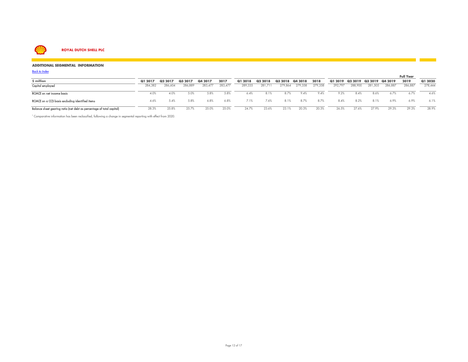

*Back to Index*

|                                                                       |         |                     |         |         |         |         |                     |                 |         |         |                                 |         |         |         | <b>Full Year</b> |         |
|-----------------------------------------------------------------------|---------|---------------------|---------|---------|---------|---------|---------------------|-----------------|---------|---------|---------------------------------|---------|---------|---------|------------------|---------|
| \$ million                                                            | Q1 2017 | Q <sub>2</sub> 2017 | Q3 2017 | Q4 2017 | 2017    | Q1 2018 | Q <sub>2</sub> 2018 | Q3 2018 Q4 2018 |         | 2018    | Q1 2019 Q2 2019 Q3 2019 Q4 2019 |         |         |         | 2019             | Q1 2020 |
| Capital employed                                                      | 284.382 | 286.604             | 286.889 | 283,477 | 283.477 | 289,335 | 281.711             | 279,864         | 279,358 | 279,358 | 292,797                         | 288,900 | 281,505 | 286,887 | 286.887          | 278,444 |
| ROACE on net income basis                                             | 4.0%    | 4.0%                | 5.0%    | 5.8%    | 5.8%    | 6.4%    | 8.1%                | 8.7%            | 9.4%    | 9.4%    | 9.2%                            | 8.4%    | 8.6%    | 6.7%    | 6.7%             | 4.6%    |
| ROACE on a CCS basis excluding identified items                       | 4.6%    | .5.4%               | 5.8%    | 6.8%    | 6.8%    | 7.1%    | 7.6%                | 8.1%            | 8.7%    | 8.7%    | 8.4%                            | 8.2%    | 8.1%    | 6.9%    | 6.9%             | 6.1%    |
| Balance sheet gearing ratio (net debt as percentage of total capital) | 28.3%   | 25.8%               | 25.7%   | 25.0%   | 25.0%   | 24.7%   | 23.6%               | 23.1%           | 20.3%   | 20.3%   | 26.5%                           | 27.6%   | 27.9%   | 29.3%   | 29.3%            | 28.9%   |

1 Comparative information has been reclassified, following a change in segmental reporting with effect from 2020.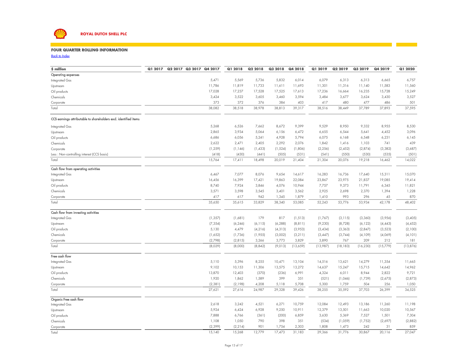

#### **FOUR QUARTER ROLLING INFORMATION**

*Back to Index*

| \$ million                                                       | Q1 2017 | Q2 2017 | Q3 2017 | Q4 2017  | Q1 2018  | Q2 2018  | Q3 2018  | Q4 2018  | Q1 2019  | Q2 2019   | Q3 2019   | Q4 2019  | Q1 2020  |
|------------------------------------------------------------------|---------|---------|---------|----------|----------|----------|----------|----------|----------|-----------|-----------|----------|----------|
| Operating expenses                                               |         |         |         |          |          |          |          |          |          |           |           |          |          |
| <b>Integrated Gas</b>                                            |         |         |         | 5,471    | 5,569    | 5,736    | 5,832    | 6,014    | 6,079    | 6,313     | 6,313     | 6,665    | 6,757    |
| Upstream                                                         |         |         |         | 11,786   | 11,819   | 11,733   | 11,611   | 11,693   | 11,301   | 11,316    | 11,140    | 11,583   | 11,560   |
| Oil products                                                     |         |         |         | 17,028   | 17,237   | 17,528   | 17,525   | 17,613   | 17,236   | 16,664    | 16,235    | 15,728   | 15,249   |
| Chemicals                                                        |         |         |         | 3,424    | 3,522    | 3,605    | 3,460    | 3,594    | 3,484    | 3,677     | 3,624     | 3,430    | 3,527    |
| Corporate                                                        |         |         |         | 373      | 372      | 376      | 384      | 403      | 417      | 480       | 477       | 486      | 501      |
| Total                                                            |         |         |         | 38,082   | 38,518   | 38,978   | 38,813   | 39,317   | 38,516   | 38,449    | 37,789    | 37,893   | 37,595   |
| CCS earnings attributable to shareholders excl. identified items |         |         |         |          |          |          |          |          |          |           |           |          |          |
| <b>Integrated Gas</b>                                            |         |         |         | 5,268    | 6,526    | 7,662    | 8,672    | 9,399    | 9,529    | 8,950     | 9,332     | 8,955    | 8,530    |
| Upstream                                                         |         |         |         | 2,865    | 3,934    | 5,064    | 6,156    | 6,472    | 6,655    | 6,544     | 5,641     | 4,452    | 3,096    |
| Oil products                                                     |         |         |         | 6,686    | 6,056    | 5,241    | 4,928    | 5,794    | 6,075    | 6,168     | 6,548     | 6,231    | 6,145    |
| Chemicals                                                        |         |         |         | 2,622    | 2,471    | 2,405    | 2,292    | 2,076    | 1,842    | 1,416     | 1,103     | 741      | 439      |
| Corporate                                                        |         |         |         | (1, 259) | (1, 146) | (1,433)  | (1,524)  | (1,806)  | (2, 256) | (2, 452)  | (2,874)   | (3, 382) | (3,687)  |
| Less: Non-controlling interest (CCS basis)                       |         |         |         | (418)    | (430)    | (441)    | (505)    | (531)    | (541)    | (550)     | (530)     | (535)    | (501)    |
| Total                                                            |         |         |         | 15,764   | 17,411   | 18,498   | 20,019   | 21,404   | 21,304   | 20,076    | 19,218    | 16,462   | 14,022   |
| Cash flow from operating activities                              |         |         |         |          |          |          |          |          |          |           |           |          |          |
| <b>Integrated Gas</b>                                            |         |         |         | 6,467    | 7,077    | 8,076    | 9,654    | 14,617   | 16,283   | 16,736    | 17,640    | 15,311   | 15,070   |
| Upstream                                                         |         |         |         | 16,456   | 16,399   | 17,421   | 19,863   | 22,084   | 23,867   | 23,975    | 21,837    | 19,085   | 19,414   |
| Oil products                                                     |         |         |         | 8,740    | 7,924    | 3,846    | 4,076    | 10,944   | 7,757    | 9,373     | 11,791    | 6,345    | 11,821   |
| Chemicals                                                        |         |         |         | 3,571    | 3,598    | 3,545    | 3,401    | 3,562    | 2,925    | 2,698     | 2,370     | 1,394    | 1,228    |
| Corporate                                                        |         |         |         | 417      | 617      | 942      | 1,345    | 1,879    | 1,410    | 993       | 296       | 45       | 870      |
| Total                                                            |         |         |         | 35,650   | 35,615   | 33,829   | 38,340   | 53,085   | 52,243   | 53,776    | 53,934    | 42,178   | 48,402   |
| Cash flow from investing activities                              |         |         |         |          |          |          |          |          |          |           |           |          |          |
| Integrated Gas                                                   |         |         |         | (1, 357) | (1,681)  | 179      | 817      | (1, 513) | (1,767)  | (3, 115)  | (3,360)   | (3,956)  | (3,405)  |
| Upstream                                                         |         |         |         | (7, 354) | (6, 246) | (6, 115) | (6, 288) | (8, 811) | (9, 230) | (8,728)   | (6, 122)  | (4, 443) | (4, 452) |
| Oil products                                                     |         |         |         | 5,130    | 4,479    | (4,216)  | (4, 313) | (3,953)  | (3,434)  | (3, 363)  | (2,847)   | (3, 523) | (2,100)  |
| Chemicals                                                        |         |         |         | (1,652)  | (1,736)  | (1,955)  | (3,002)  | (3, 211) | (3,447)  | (3,744)   | (4,109)   | (4,069)  | (4, 101) |
| Corporate                                                        |         |         |         | (2,798)  | (2,815)  | 3,266    | 3,773    | 3,829    | 3,890    | 767       | 209       | 212      | 181      |
| Total                                                            |         |         |         | (8,029)  | (8,000)  | (8, 842) | (9,013)  | (13,659) | (13,987) | (18, 183) | (16, 230) | (15,779) | (13,876) |
| Free cash flow                                                   |         |         |         |          |          |          |          |          |          |           |           |          |          |
| <b>Integrated Gas</b>                                            |         |         |         | 5,110    | 5,396    | 8,255    | 10,471   | 13,104   | 14,516   | 13,621    | 14,279    | 11,354   | 11,665   |
| Upstream                                                         |         |         |         | 9,102    | 10,153   | 11,306   | 13,575   | 13,272   | 14,637   | 15,247    | 15,715    | 14,642   | 14,962   |
| Oil products                                                     |         |         |         | 13,870   | 12,403   | (370)    | (236)    | 6,991    | 4,324    | 6,011     | 8,944     | 2,822    | 9,721    |
| Chemicals                                                        |         |         |         | 1,920    | 1,862    | 1,589    | 399      | 351      | (521)    | (1,046)   | (1,739)   | (2,675)  | (2,873)  |
| Corporate                                                        |         |         |         | (2, 381) | (2,198)  | 4,208    | 5,118    | 5,708    | 5,300    | 1,759     | 504       | 256      | 1,050    |
| Total                                                            |         |         |         | 27,621   | 27,616   | 24,987   | 29,328   | 39,426   | 38,255   | 35,592    | 37,703    | 26,399   | 34,525   |
| Organic Free cash flow                                           |         |         |         |          |          |          |          |          |          |           |           |          |          |
| <b>Integrated Gas</b>                                            |         |         |         | 2,618    | 3,242    | 4,521    | 6,271    | 10,759   | 12,084   | 12,493    | 13,186    | 11,260   | 11,198   |
| Upstream                                                         |         |         |         | 5,924    | 6,424    | 6,928    | 9,250    | 10,911   | 12,379   | 13,501    | 11,663    | 10,020   | 10,567   |
| Oil products                                                     |         |         |         | 7,888    | 6,766    | (361)    | (200)    | 6,859    | 3,630    | 5,369     | 7,527     | 1,501    | 7,304    |
| Chemicals                                                        |         |         |         | 1,108    | 1,050    | 790      | 398      | 351      | (534)    | (1,059)   | (1,752)   | (2,697)  | (2,882)  |
| Corporate                                                        |         |         |         | (2, 399) | (2, 214) | 901      | 1,754    | 2,303    | 1,808    | 1,473     | 242       | 31       | 859      |
| Total                                                            |         |         |         | 15.140   | 15,268   | 12.779   | 17.473   | 31,183   | 29,366   | 31,776    | 30.867    | 20.116   | 27.047   |

and the state of the state.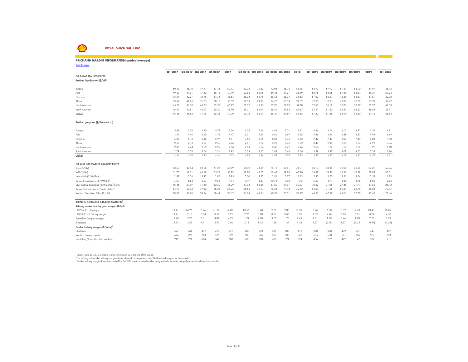#### **PRICE AND MARGIN INFORMATION (period average)**

*Back to Index*

|                                                  | <b>Q1 2017</b> |       | Q2 2017 Q3 2017 Q4 2017 |       | 2017  |       |       | Q1 2018 Q2 2018 Q3 2018 Q4 2018 |       | 2018  | Q1 2019 | Q <sub>2</sub> 2019 | Q3 2019 | Q4 2019 | 2019   | Q1 2020 |
|--------------------------------------------------|----------------|-------|-------------------------|-------|-------|-------|-------|---------------------------------|-------|-------|---------|---------------------|---------|---------|--------|---------|
| OIL & GAS REALISED PRICES                        |                |       |                         |       |       |       |       |                                 |       |       |         |                     |         |         |        |         |
| Realised liquids prices (\$/bbl)                 |                |       |                         |       |       |       |       |                                 |       |       |         |                     |         |         |        |         |
| Europe                                           | 50.33          | 45.70 | 49.11                   | 57.45 | 50.47 | 63.35 | 70.42 | 72.05                           | 66.73 | 68.15 | 63.92   | 69.92               | 61.64   | 63.90   | 64.97  | 48.75   |
| Asia                                             | 49.42          | 47.01 | 47.42                   | 55.13 | 49.79 | 60.85 | 66.16 | 69.46                           | 64.21 | 65.19 | 58.76   | 63.05               | 57.69   | 58.34   | 59.39  | 51.23   |
| Oceania                                          | 43.24          | 42.21 | 40.75                   | 54.74 | 45.64 | 58.08 | 63.76 | 66.63                           | 58.37 | 61.63 | 51.03   | 52.57               | 48.39   | 53.84   | 51.51  | 42.08   |
| Africa                                           | 53.61          | 49.86 | 51.75                   | 60.17 | 53.39 | 67.53 | 74.25 | 76.26                           | 65.14 | 71.02 | 62.90   | 69.26               | 63.00   | 67.82   | 65.39  | 57.49   |
| North America                                    | 45.22          | 43.10 | 43.75                   | 52.58 | 45.99 | 58.02 | 62.25 | 63.76                           | 52.93 | 59.10 | 52.60   | 56.18               | 52.05   | 52.17   | 53.27  | 41.33   |
| South America                                    | 46.93          | 43.81 | 46.17                   | 55.20 | 48.10 | 59.31 | 65.94 | 66.51                           | 57.62 | 62.67 | 57.31   | 61.30               | 54.47   | 54.53   | 56.68  | 42.71   |
| Global                                           | 48.36          | 45.62 | 47.06                   | 55.28 | 49.00 | 60.74 | 66.24 | 68.21                           | 59.89 | 63.85 | 57.42   | 61.26               | 55.99   | 56.60   | 57.76  | 46.53   |
| Realised gas prices (\$/thousand scf)            |                |       |                         |       |       |       |       |                                 |       |       |         |                     |         |         |        |         |
| Europe                                           | 5.08           | 5.30  | 4.90                    | 5.72  | 5.26  | 6.03  | 5.66  | 4.66                            | 7.01  | 5.91  | 6.66    | 4.74                | 4.13    | 4.91    | 5.36   | 4.71    |
| Asia                                             | 4.44           | 4.40  | 4.60                    | 4.46  | 4.47  | 5.01  | 5.24  | 5.60                            | 5.69  | 5.36  | 5.46    | 4.54                | 4.88    | 4.87    | 4.94   | 4.69    |
| Oceania                                          | 5.84           | 6.13  | 6.42                    | 5.97  | 6.11  | 7.52  | 8.15  | 8.88                            | 9.46  | 8.53  | 9.42    | 7.47                | 8.07    | 7.49    | 8.08   | 7.70    |
| Africa                                           | 2.55           | 2.13  | 2.57                    | 2.53  | 2.44  | 2.61  | 2.74  | 3.23                            | 3.45  | 3.02  | 3.40    | 2.88                | 2.59    | 2.77    | 2.92   | 3.06    |
| North America                                    | 2.86           | 2.74  | 2.29                    | 2.29  | 2.54  | 2.53  | 2.04  | 2.45                            | 2.79  | 2.46  | 2.60    | 1.72                | 1.56    | 2.08    | 1.99   | 1.60    |
| South America                                    | 2.79           | 3.18  | 2.56                    | 3.24  | 2.93  | 3.09  | 3.63  | 3.88                            | 3.46  | 3.50  | 2.39    | 2.37                | 2.08    | 2.52    | 2.33   | 1.80    |
| Global                                           | 4.34           | 4.30  | 4.25                    | 4.44  | 4.33  | 4.95  | 4.86  | 4.92                            | 5.75  | 5.13  | 5.37    | 4.21                | 4.19    | 4.42    | 4.57   | 4.31    |
| OIL AND GAS MARKER INDUSTRY PRICES               |                |       |                         |       |       |       |       |                                 |       |       |         |                     |         |         |        |         |
| Brent (\$/bbl)                                   | 53.69          | 49.64 | 52.08                   | 61.26 | 54.19 | 66.82 | 74.39 | 75.16                           | 68.81 | 71.31 | 63.13   | 68.86               | 62.00   | 63.08   | 64.21  | 50.06   |
| WTI (\$/bbl)                                     | 51.70          | 48.11 | 48.18                   | 55.23 | 50.79 | 62.90 | 68.02 | 69.63                           | 59.98 | 65.20 | 54.87   | 59.90               | 56.40   | 56.88   | 57.03  | 45.51   |
| Henry Hub (\$/MMBtu)                             | 2.97           | 3.04  | 2.93                    | 2.87  | 2.95  | 3.00  | 2.83  | 2.91                            | 3.77  | 3.13  | 2.90    | 2.50                | 2.35    | 2.36    | 2.53   | 1.89    |
| Japan Korea Marker (\$/MMBtu)                    | 7.09           | 5.54  | 6.27                    | 9.66  | 7.14  | 9.47  | 8.87  | 10.73                           | 9.95  | 9.76  | 6.63    | 4.94                | 4.69    | 5.75    | 5.50   | 3.83    |
| UK National Balancing Point (pence/therm)        | 48.46          | 37.99 | 41.59                   | 52.30 | 45.09 | 57.94 | 53.89 | 64.50                           | 64.91 | 60.37 | 48.22   | 31.08               | 27.46   | 31.74   | 34.56  | 24.78   |
| Japan Customs-cleared Crude (\$/bbl)             | 54.93          | 53.33 | 49.62                   | 58.36 | 54.06 | 66.55 | 71.14 | 76.56                           | 77.44 | 72.92 | 63.54   | 71.66               | 66.34   | 65.76   | 66.82  | 70.47   |
| Western Canadian Select (\$/bbl)                 | 38.88          | 38.76 | 38.14                   | 38.69 | 38.62 | 36.84 | 49.76 | 40.33                           | 25.31 | 38.27 | 44.91   | 47.37               | 43.61   | 37.70   | 43.42  | 28.66   |
| REFINING & CRACKER INDUSTRY MARGINS <sup>2</sup> |                |       |                         |       |       |       |       |                                 |       |       |         |                     |         |         |        |         |
| Refining marker industry gross margins (\$/bbl)  |                |       |                         |       |       |       |       |                                 |       |       |         |                     |         |         |        |         |
| US West Coast margin                             | 13.41          | 14.26 | 16.76                   | 11.72 | 14.02 | 13.56 | 13.48 | 9.79                            | 9.08  | 11.50 | 10.24   | 16.38               | 13.02   | 14.13   | 13.45  | 10.09   |
| US Gulf Coast Coking margin                      | 8.91           | 9.10  | 13.04                   | 8.59  | 9.91  | 7.96  | 8.20  | 8.13                            | 3.45  | 6.96  | 2.57    | 4.94                | 6.13    | 6.01    | 4.92   | 4.51    |
| Rotterdam Complex margin                         | 3.48           | 3.90  | 5.61                    | 4.01  | 4.26  | 1.99  | 2.70  | 3.53                            | 1.70  | 2.49  | 1.81    | 1.93                | 3.46    | 1.88    | 2.28   | 1.74    |
| Singapore                                        | 3.24           | 3.52  | 4.71                    | 2.93  | 3.60  | 2.11  | 1.12  | 1.26                            | 1.29  | 1.44  | 1.27    | (0.78)              | 1.57    | (4.25)  | (0.57) | (3.52)  |
| Cracker industry margins (\$/tonne) <sup>3</sup> |                |       |                         |       |       |       |       |                                 |       |       |         |                     |         |         |        |         |
| US ethane                                        | 527            | 441   | 437                     | 479   | 471   | 488   | 393   | 361                             | 408   | 412   | 390     | 398                 | 472     | 501     | 440    | 427     |
| Western Europe naphtha                           | 696            | 923   | 713                     | 576   | 727   | 583   | 526   | 507                             | 633   | 562   | 555     | 580                 | 591     | 386     | 528    | 624     |
| North East/South East Asia naphtha               | 919            | 591   | 694                     | 547   | 688   | 738   | 618   | 630                             | 391   | 594   | 456     | 282                 | 422     | 47      | 302    | 213     |

and the

' Quarter data based on available market information up to the end of the period.<br>"The refining and cracker industry margins shown above do not represent actual Shell realised margins for the periods.<br>"Cracker industry mar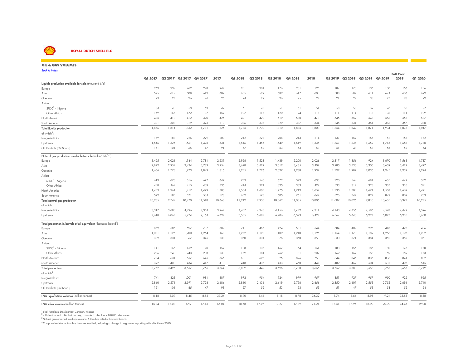

#### **OIL & GAS VOLUMES**

*Back to Index*

|                                                                              |         |         |         |         |        |         |         |         |         |        |         |                     |         |         | <b>Full Year</b> |         |
|------------------------------------------------------------------------------|---------|---------|---------|---------|--------|---------|---------|---------|---------|--------|---------|---------------------|---------|---------|------------------|---------|
|                                                                              | Q1 2017 | Q2 2017 | Q3 2017 | Q4 2017 | 2017   | Q1 2018 | Q2 2018 | Q3 2018 | Q4 2018 | 2018   | Q1 2019 | Q <sub>2</sub> 2019 | Q3 2019 | Q4 2019 | 2019             | Q1 2020 |
| Liquids production available for sale (thousand b/d)                         |         |         |         |         |        |         |         |         |         |        |         |                     |         |         |                  |         |
| Europe                                                                       | 269     | 237     | 262     | 228     | 249    | 201     | 201     | 176     | 201     | 196    | 184     | 173                 | 136     | 130     | 156              | 136     |
| Asia                                                                         | 595     | 617     | 608     | 612     | 607    | 635     | 592     | 589     | 617     | 608    | 588     | 582                 | 611     | 644     | 606              | 629     |
| Oceania                                                                      | 23      | 24      | 26      | 26      | 25     | 24      | 22      | 26      | 25      | 24     | 21      | 29                  | 33      | 27      | 28               | 29      |
| Africa:                                                                      |         |         |         |         |        |         |         |         |         |        |         |                     |         |         |                  |         |
| SPDC <sup>1</sup> - Nigeria                                                  | 34      | 48      | 53      | 53      | 47     | 61      | 43      | 51      | 51      | 51     | 58      | 58                  | 69      | 76      | 65               | 77      |
| Other Africa                                                                 | 159     | 167     | 172     | 137     | 159    | 107     | 116     | 120     | 124     | 117    | 111     | 114                 | 113     | 106     | 111              | 109     |
| North America                                                                | 485     | 413     | 412     | 390     | 425    | 421     | 420     | 519     | 530     | 473    | 545     | 552                 | 548     | 566     | 553              | 587     |
| South America                                                                | 301     | 308     | 319     | 325     | 313    | 336     | 336     | 329     | 337     | 334    | 346     | 334                 | 361     | 386     | 357              | 380     |
| <b>Total liquids production</b>                                              | 1,866   | 1,814   | 1,852   | 1,771   | 1,825  | 1,785   | 1,730   | 1,810   | 1,885   | 1,803  | 1,854   | 1,842               | 1,871   | 1,934   | 1,876            | 1,947   |
| of which <sup>4</sup> :                                                      |         |         |         |         |        |         |         |         |         |        |         |                     |         |         |                  |         |
| Integrated Gas                                                               | 169     | 188     | 226     | 229     | 203    | 212     | 223     | 208     | 213     | 214    | 137     | 159                 | 166     | 161     | 156              | 162     |
| Upstream                                                                     | 1,546   | 1,525   | 1,561   | 1,495   | 1,531  | 1,516   | 1,455   | 1,549   | 1,619   | 1,536  | 1,667   | 1,636               | 1,652   | 1,715   | 1,668            | 1,730   |
| Oil Products (Oil Sands)                                                     | 151     | 101     | 65      | 47      | 91     | 57      | 52      | 53      | 53      | 53     | 51      | 47                  | 53      | 58      | 52               | 54      |
| Natural gas production available for sale (million scf/d <sup>2</sup> )      |         |         |         |         |        |         |         |         |         |        |         |                     |         |         |                  |         |
| Europe                                                                       | 3,425   | 2,021   | 1,944   | 2,781   | 2,539  | 2,956   | 1,528   | 1,439   | 2,200   | 2,026  | 2,317   | 1,356               | 924     | 1,670   | 1,563            | 1,737   |
| Asia                                                                         | 2,822   | 2,957   | 3,434   | 3,789   | 3,254  | 3,698   | 3,492   | 3,019   | 3,435   | 3,409  | 3,285   | 3,430               | 3,350   | 3,609   | 3,419            | 3,497   |
| Oceania                                                                      | 1,656   | 1,778   | 1,973   | 1,849   | 1,815  | 1,945   | 1,796   | 2,027   | 1,988   | 1,939  | 1,792   | 1,982               | 2,035   | 1,945   | 1,939            | 1,924   |
| Africa                                                                       |         |         |         |         |        |         |         |         |         |        |         |                     |         |         |                  |         |
| SPDC <sup>1</sup> - Nigeria                                                  | 619     | 678     | 616     | 677     | 647    | 743     | 540     | 672     | 599     | 638    | 720     | 564                 | 681     | 605     | 642              | 542     |
| Other Africa                                                                 | 448     | 467     | 415     | 409     | 435    | 414     | 391     | 825     | 333     | 492    | 333     | 319                 | 323     | 367     | 335              | 371     |
| North America                                                                | 1,443   | 1,261   | 1,417   | 1,479   | 1,400  | 1,504   | 1,605   | 1,775   | 1,719   | 1,652  | 1,735   | 1,704               | 1,671   | 1,568   | 1,669            | 1,421   |
| South America                                                                | 522     | 585     | 671     | 534     | 578    | 652     | 578     | 605     | 761     | 649    | 826     | 742                 | 827     | 842     | 809              | 783     |
| Total natural gas production                                                 | 10,935  | 9,747   | 10,470  | 11,518  | 10,668 | 11,912  | 9,930   | 10,362  | 11,035  | 10,805 | 11,007  | 10,096              | 9,810   | 10,605  | 10,377           | 10,275  |
| of which:                                                                    |         |         |         |         |        |         |         |         |         |        |         |                     |         |         |                  |         |
| Integrated Gas                                                               | 3,317   | 3,683   | 4,496   | 4,364   | 3,969  | 4,407   | 4,243   | 4,156   | 4,442   | 4,311  | 4,143   | 4,456               | 4,586   | 4,578   | 4,442            | 4,596   |
| Upstream                                                                     | 7,618   | 6,064   | 5,974   | 7,154   | 6,699  | 7,505   | 5,687   | 6,206   | 6,593   | 6,494  | 6,864   | 5,640               | 5,224   | 6,027   | 5,935            | 5,680   |
| Total production in barrels of oil equivalent (thousand boe/d <sup>3</sup> ) |         |         |         |         |        |         |         |         |         |        |         |                     |         |         |                  |         |
| Europe                                                                       | 859     | 586     | 597     | 707     | 687    | 711     | 466     | 424     | 581     | 544    | 584     | 407                 | 295     | 418     | 425              | 436     |
| Asia                                                                         | 1,081   | 1,126   | 1,200   | 1,264   | 1,168  | 1,272   | 1,193   | 1,109   | 1,210   | 1,196  | 1,154   | 1,173               | 1,189   | 1,266   | 1,196            | 1,232   |
| Oceania                                                                      | 309     | 331     | 367     | 345     | 338    | 360     | 331     | 376     | 368     | 358    | 330     | 371                 | 384     | 362     | 362              | 361     |
| Africa:                                                                      |         |         |         |         |        |         |         |         |         |        |         |                     |         |         |                  |         |
| SPDC <sup>1</sup> - Nigeria                                                  | 4       | 165     | 159     | 170     | 159    | 188     | 135     | 167     | 154     | 161    | 183     | 155                 | 186     | 180     | 176              | 170     |
| Other Africa                                                                 | 236     | 248     | 243     | 208     | 233    | 179     | 184     | 262     | 181     | 202    | 169     | 169                 | 168     | 169     | 169              | 173     |
| North America                                                                | 734     | 631     | 657     | 645     | 666    | 681     | 697     | 825     | 826     | 758    | 844     | 846                 | 836     | 836     | 841              | 832     |
| South America                                                                | 392     | 408     | 434     | 417     | 413    | 448     | 436     | 433     | 468     | 447    | 489     | 462                 | 504     | 531     | 496              | 515     |
| <b>Total production</b>                                                      | 3,752   | 3,495   | 3,657   | 3,756   | 3,664  | 3,839   | 3,442   | 3,596   | 3,788   | 3,666  | 3,752   | 3,583               | 3,563   | 3,763   | 3,665            | 3,719   |
| of which <sup>4</sup> :                                                      |         |         |         |         |        |         |         |         |         |        |         |                     |         |         |                  |         |
| Integrated Gas                                                               | 741     | 823     | 1,001   | 981     | 887    | 972     | 954     | 924     | 979     | 957    | 851     | 927                 | 957     | 950     | 922              | 955     |
| Upstream                                                                     | 2,860   | 2,571   | 2,591   | 2,728   | 2,686  | 2,810   | 2,436   | 2,619   | 2,756   | 2,656  | 2,850   | 2,609               | 2,553   | 2,755   | 2,691            | 2,710   |
| Oil Products (Oil Sands)                                                     | 151     | 101     | 65      | 47      | 91     | 57      | 52      | 53      | 53      | 53     | 51      | 47                  | 53      | 58      | 52               | 54      |
| <b>LNG liquefaction volumes</b> (million tonnes)                             | 8.18    | 8.09    | 8.45    | 8.52    | 33.24  | 8.90    | 8.46    | 8.18    | 8.78    | 34.32  | 8.74    | 8.66                | 8.95    | 9.21    | 35.55            | 8.88    |
| <b>LNG</b> sales volumes (million tonnes)                                    | 15.84   | 16.08   | 16.97   | 17.15   | 66.04  | 18.58   | 17.97   | 17.27   | 17.39   | 71.21  | 17.51   | 17.95               | 18.90   | 20.09   | 74.45            | 19.00   |

г

<sup>1</sup> Shell Petroleum Development Company Nigeria<br><sup>2</sup> scf/d = standard cubic feet per day; 1 standard cubic foot = 0.0283 cubic metre.<br><sup>3</sup> Natural gas converted to oil equivalent at 5.8 million scf/d = thousand boe/d.

<sup>4</sup>Comparative information has been reclassified, following a change in segmental reporting with effect from 2020.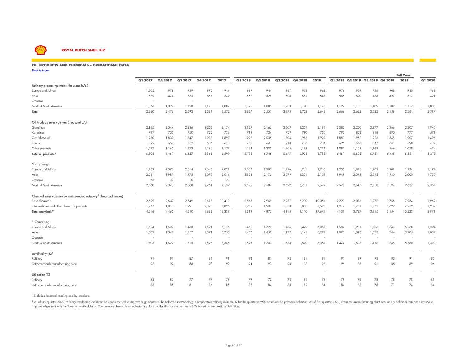

#### **OIL PRODUCTS AND CHEMICALS – OPERATIONAL DATA**

*Back to Index*

| <b>DUCA IO IHUGA</b>                                                           |         |                     |         |         |        |         |         |         |         |        |       | <b>Full Year</b> |                         |         |        |         |
|--------------------------------------------------------------------------------|---------|---------------------|---------|---------|--------|---------|---------|---------|---------|--------|-------|------------------|-------------------------|---------|--------|---------|
|                                                                                | Q1 2017 | Q <sub>2</sub> 2017 | Q3 2017 | Q4 2017 | 2017   | Q1 2018 | Q2 2018 | Q3 2018 | Q4 2018 | 2018   |       |                  | Q1 2019 Q2 2019 Q3 2019 | Q4 2019 | 2019   | Q1 2020 |
| Refinery processing intake (thousand b/d)                                      |         |                     |         |         |        |         |         |         |         |        |       |                  |                         |         |        |         |
| Europe and Africa                                                              | 1,005   | 978                 | 929     | 875     | 946    | 989     | 944     | 967     | 952     | 962    | 976   | 909              | 926                     | 908     | 930    | 968     |
| Asia                                                                           | 579     | 474                 | 535     | 566     | 539    | 557     | 528     | 505     | 581     | 543    | 565   | 590              | 488                     | 427     | 517    | 421     |
| Oceania                                                                        |         |                     |         | ٠.      |        | ٠       |         |         |         |        |       | ٠.               |                         | ÷.      | ۰.     |         |
| North & South America                                                          | 1,046   | 1,024               | 1,128   | 1,148   | 1,087  | 1,091   | 1,085   | 1,203   | 1,190   | 1,143  | 1,124 | 1,133            | 1,109                   | 1,102   | 1,117  | 1,008   |
| Total                                                                          | 2,630   | 2,476               | 2,592   | 2,589   | 2,572  | 2,637   | 2,557   | 2,675   | 2,723   | 2,648  | 2,666 | 2,632            | 2,522                   | 2,438   | 2,564  | 2,397   |
| Oil Products sales volumes (thousand b/d)                                      |         |                     |         |         |        |         |         |         |         |        |       |                  |                         |         |        |         |
| Gasolines                                                                      | 2,165   | 2,044               | 2,236   | 2,252   | 2,174  | 2,129   | 2,165   | 2,209   | 2,234   | 2,184  | 2,083 | 2,200            | 2,277                   | 2,266   | 2,207  | 1,940   |
| Kerosines                                                                      | 717     | 755                 | 750     | 720     | 736    | 714     | 734     | 759     | 790     | 750    | 795   | 802              | 818                     | 695     | 777    | 571     |
| Gas/diesel oils                                                                | 1,930   | 1,839               | 1,847   | 1,973   | 1,897  | 1,922   | 2,005   | 1,806   | 1,983   | 1,929  | 1,883 | 1,952            | 1,926                   | 1,868   | 1,907  | 1,696   |
| Fuel oil                                                                       | 599     | 664                 | 552     | 636     | 613    | 752     | 641     | 718     | 706     | 704    | 625   | 546              | 547                     | 641     | 590    | 437     |
| Other products                                                                 | 1,097   | 1,165               | 1,172   | 1,280   | 1,179  | 1,268   | 1,200   | 1,205   | 1,193   | 1,216  | 1,081 | 1,108            | 1,163                   | 966     | 1,079  | 634     |
| Total oil products <sup>*</sup>                                                | 6,508   | 6,467               | 6,557   | 6,861   | 6,599  | 6,785   | 6,745   | 6,697   | 6,906   | 6,783  | 6,467 | 6,608            | 6,731                   | 6,435   | 6,561  | 5,278   |
| *Comprising:                                                                   |         |                     |         |         |        |         |         |         |         |        |       |                  |                         |         |        |         |
| Europe and Africa                                                              | 1,959   | 2,070               | 2,014   | 2,040   | 2,021  | 2,082   | 1,983   | 1,926   | 1,964   | 1,988  | 1,939 | 1,893            | 1,962                   | 1,901   | 1,924  | 1,179   |
| Asia                                                                           | 2,031   | 1,987               | 1,975   | 2,070   | 2,016  | 2,128   | 2,175   | 2,079   | 2,231   | 2,153  | 1,949 | 2,098            | 2,012                   | 1,940   | 2,000  | 1,735   |
| Oceania                                                                        | 58      | 37                  | $\circ$ | $\circ$ | 23     | $\sim$  | $\sim$  |         |         | ٠.     |       |                  |                         | ÷.      | $\sim$ |         |
| North & South America                                                          | 2,460   | 2,373               | 2,568   | 2,751   | 2,539  | 2,575   | 2,587   | 2,692   | 2,711   | 2,642  | 2,579 | 2,617            | 2,758                   | 2,594   | 2,637  | 2,364   |
| Chemical sales volumes by main product category <sup>1</sup> (thousand tonnes) |         |                     |         |         |        |         |         |         |         |        |       |                  |                         |         |        |         |
| <b>Base chemicals</b>                                                          | 2,599   | 2,647               | 2,549   | 2,618   | 10,413 | 2,565   | 2,969   | 2,287   | 2,230   | 10,051 | 2,220 | 2,036            | 1,972                   | 1,755   | 7,984  | 1,962   |
| Intermediates and other chemicals products                                     | 1,947   | 1,818               | 1,991   | 2,070   | 7,826  | 1,949   | 1,906   | 1,858   | 1,880   | 7,593  | 1,917 | 1,751            | 1,873                   | 1,699   | 7,239  | 1,909   |
| Total chemicals**                                                              | 4,546   | 4,465               | 4,540   | 4,688   | 18,239 | 4,514   | 4,875   | 4,145   | 4,110   | 17,644 | 4,137 | 3,787            | 3,845                   | 3,454   | 15,223 | 3,871   |
| **Comprising:                                                                  |         |                     |         |         |        |         |         |         |         |        |       |                  |                         |         |        |         |
| Europe and Africa                                                              | 1,554   | 1,502               | 1,468   | 1,591   | 6,115  | 1,459   | 1,720   | 1,435   | 1,449   | 6,063  | 1,587 | 1,251            | 1,356                   | 1,343   | 5,538  | 1,394   |
| Asia                                                                           | 1,389   | 1,341               | 1,457   | 1,571   | 5,758  | 1,457   | 1,452   | 1,172   | 1,141   | 5,222  | 1,075 | 1,013            | 1,073                   | 744     | 3,905  | 1,087   |
| Oceania                                                                        |         | $\sim$              |         | ٠.      | $\sim$ | ۰.      | $\sim$  |         |         |        |       |                  |                         | ÷.      | $\sim$ |         |
| North & South America                                                          | 1,603   | 1,622               | 1,615   | 1,526   | 6,366  | 1,598   | 1,703   | 1,538   | 1,520   | 6,359  | 1,474 | 1,523            | 1,416                   | 1,366   | 5,780  | 1,390   |
| Availability (%) <sup>2</sup>                                                  |         |                     |         |         |        |         |         |         |         |        |       |                  |                         |         |        |         |
| Refinery                                                                       | 94      | 91                  | 87      | 89      | 91     | 92      | 87      | 92      | 94      | 91     | 91    | 89               | 92                      | 93      | 91     | 95      |
| Petrochemicals manufacturing plant                                             | 93      | 92                  | 88      | 93      | 92     | 94      | 93      | 93      | 93      | 93     | 95    | 85               | 91                      | 85      | 89     | 96      |
| Utilisation (%)                                                                |         |                     |         |         |        |         |         |         |         |        |       |                  |                         |         |        |         |
| Refinery                                                                       | 82      | 80                  | 77      | 77      | 79     | 79      | 72      | 78      | 81      | 78     | 79    | 76               | 78                      | 78      | 78     | 81      |
| Petrochemicals manufacturing plant                                             | 86      | 85                  | 81      | 86      | 85     | 87      | 84      | 83      | 82      | 84     | 84    | 73               | 78                      | 71      | 76     | 84      |

#### <sup>1</sup> Excludes feedstock trading and by-products.

<sup>2</sup> As of first quarter 2020, refinery availability definition has been revised to improve alignment with the Solomon methodology. Comparative refinery availability for the quarter is 95% based on the previous definition.